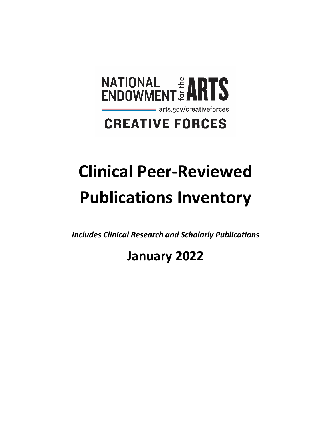

# **Clinical Peer-Reviewed Publications Inventory**

*Includes Clinical Research and Scholarly Publications* 

# **January 2022**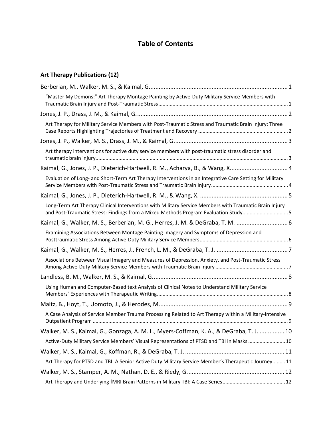#### **Table of Contents**

#### **Art Therapy Publications (12)**

| "Master My Demons:" Art Therapy Montage Painting by Active-Duty Military Service Members with                                                                                                |
|----------------------------------------------------------------------------------------------------------------------------------------------------------------------------------------------|
|                                                                                                                                                                                              |
| Art Therapy for Military Service Members with Post-Traumatic Stress and Traumatic Brain Injury: Three                                                                                        |
|                                                                                                                                                                                              |
| Art therapy interventions for active duty service members with post-traumatic stress disorder and                                                                                            |
| Kaimal, G., Jones, J. P., Dieterich-Hartwell, R. M., Acharya, B., & Wang, X 4                                                                                                                |
| Evaluation of Long- and Short-Term Art Therapy Interventions in an Integrative Care Setting for Military                                                                                     |
|                                                                                                                                                                                              |
| Long-Term Art Therapy Clinical Interventions with Military Service Members with Traumatic Brain Injury<br>and Post-Traumatic Stress: Findings from a Mixed Methods Program Evaluation Study5 |
| Kaimal, G., Walker, M. S., Berberian, M. G., Herres, J. M. & DeGraba, T. M.  6                                                                                                               |
| Examining Associations Between Montage Painting Imagery and Symptoms of Depression and                                                                                                       |
|                                                                                                                                                                                              |
| Associations Between Visual Imagery and Measures of Depression, Anxiety, and Post-Traumatic Stress                                                                                           |
|                                                                                                                                                                                              |
| Using Human and Computer-Based text Analysis of Clinical Notes to Understand Military Service                                                                                                |
|                                                                                                                                                                                              |
| A Case Analysis of Service Member Trauma Processing Related to Art Therapy within a Military-Intensive                                                                                       |
| Walker, M. S., Kaimal, G., Gonzaga, A. M. L., Myers-Coffman, K. A., & DeGraba, T. J.  10                                                                                                     |
| Active-Duty Military Service Members' Visual Representations of PTSD and TBI in Masks  10                                                                                                    |
|                                                                                                                                                                                              |
| Art Therapy for PTSD and TBI: A Senior Active Duty Military Service Member's Therapeutic Journey 11                                                                                          |
|                                                                                                                                                                                              |
|                                                                                                                                                                                              |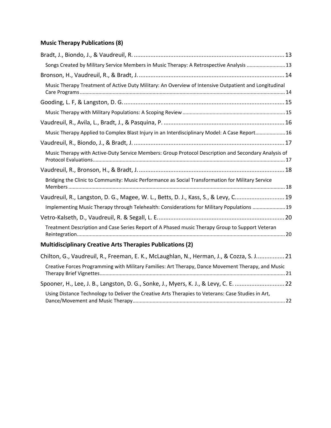#### **Music Therapy Publications (8)**

| Songs Created by Military Service Members in Music Therapy: A Retrospective Analysis  13              |
|-------------------------------------------------------------------------------------------------------|
|                                                                                                       |
| Music Therapy Treatment of Active Duty Military: An Overview of Intensive Outpatient and Longitudinal |
|                                                                                                       |
|                                                                                                       |
|                                                                                                       |
| Music Therapy Applied to Complex Blast Injury in an Interdisciplinary Model: A Case Report16          |
|                                                                                                       |
| Music Therapy with Active-Duty Service Members: Group Protocol Description and Secondary Analysis of  |
|                                                                                                       |
| Bridging the Clinic to Community: Music Performance as Social Transformation for Military Service     |
| Vaudreuil, R., Langston, D. G., Magee, W. L., Betts, D. J., Kass, S., & Levy, C 19                    |
| Implementing Music Therapy through Telehealth: Considerations for Military Populations  19            |
|                                                                                                       |
| Treatment Description and Case Series Report of A Phased music Therapy Group to Support Veteran       |
| <b>Multidisciplinary Creative Arts Therapies Publications (2)</b>                                     |

| Chilton, G., Vaudreuil, R., Freeman, E. K., McLaughlan, N., Herman, J., & Cozza, S. J 21           |  |
|----------------------------------------------------------------------------------------------------|--|
| Creative Forces Programming with Military Families: Art Therapy, Dance Movement Therapy, and Music |  |
| Spooner, H., Lee, J. B., Langston, D. G., Sonke, J., Myers, K. J., & Levy, C. E. 22                |  |
| Using Distance Technology to Deliver the Creative Arts Therapies to Veterans: Case Studies in Art, |  |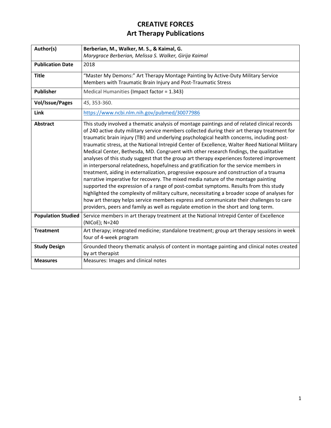<span id="page-3-1"></span><span id="page-3-0"></span>

| Author(s)                 | Berberian, M., Walker, M. S., & Kaimal, G.                                                                                                                                                                                                                                                                                                                                                                                                                                                                                                                                                                                                                                                                                                                                                                                                                                                                                                                                                                                                                                                                                                                                                                                              |
|---------------------------|-----------------------------------------------------------------------------------------------------------------------------------------------------------------------------------------------------------------------------------------------------------------------------------------------------------------------------------------------------------------------------------------------------------------------------------------------------------------------------------------------------------------------------------------------------------------------------------------------------------------------------------------------------------------------------------------------------------------------------------------------------------------------------------------------------------------------------------------------------------------------------------------------------------------------------------------------------------------------------------------------------------------------------------------------------------------------------------------------------------------------------------------------------------------------------------------------------------------------------------------|
|                           | Marygrace Berberian, Melissa S. Walker, Girija Kaimal                                                                                                                                                                                                                                                                                                                                                                                                                                                                                                                                                                                                                                                                                                                                                                                                                                                                                                                                                                                                                                                                                                                                                                                   |
| <b>Publication Date</b>   | 2018                                                                                                                                                                                                                                                                                                                                                                                                                                                                                                                                                                                                                                                                                                                                                                                                                                                                                                                                                                                                                                                                                                                                                                                                                                    |
| <b>Title</b>              | "Master My Demons:" Art Therapy Montage Painting by Active-Duty Military Service<br>Members with Traumatic Brain Injury and Post-Traumatic Stress                                                                                                                                                                                                                                                                                                                                                                                                                                                                                                                                                                                                                                                                                                                                                                                                                                                                                                                                                                                                                                                                                       |
| <b>Publisher</b>          | Medical Humanities (Impact factor = 1.343)                                                                                                                                                                                                                                                                                                                                                                                                                                                                                                                                                                                                                                                                                                                                                                                                                                                                                                                                                                                                                                                                                                                                                                                              |
| <b>Vol/Issue/Pages</b>    | 45, 353-360.                                                                                                                                                                                                                                                                                                                                                                                                                                                                                                                                                                                                                                                                                                                                                                                                                                                                                                                                                                                                                                                                                                                                                                                                                            |
| <b>Link</b>               | https://www.ncbi.nlm.nih.gov/pubmed/30077986                                                                                                                                                                                                                                                                                                                                                                                                                                                                                                                                                                                                                                                                                                                                                                                                                                                                                                                                                                                                                                                                                                                                                                                            |
| <b>Abstract</b>           | This study involved a thematic analysis of montage paintings and of related clinical records<br>of 240 active duty military service members collected during their art therapy treatment for<br>traumatic brain injury (TBI) and underlying psychological health concerns, including post-<br>traumatic stress, at the National Intrepid Center of Excellence, Walter Reed National Military<br>Medical Center, Bethesda, MD. Congruent with other research findings, the qualitative<br>analyses of this study suggest that the group art therapy experiences fostered improvement<br>in interpersonal relatedness, hopefulness and gratification for the service members in<br>treatment, aiding in externalization, progressive exposure and construction of a trauma<br>narrative imperative for recovery. The mixed media nature of the montage painting<br>supported the expression of a range of post-combat symptoms. Results from this study<br>highlighted the complexity of military culture, necessitating a broader scope of analyses for<br>how art therapy helps service members express and communicate their challenges to care<br>providers, peers and family as well as regulate emotion in the short and long term. |
| <b>Population Studied</b> | Service members in art therapy treatment at the National Intrepid Center of Excellence<br>(NICoE); N=240                                                                                                                                                                                                                                                                                                                                                                                                                                                                                                                                                                                                                                                                                                                                                                                                                                                                                                                                                                                                                                                                                                                                |
| <b>Treatment</b>          | Art therapy; integrated medicine; standalone treatment; group art therapy sessions in week<br>four of 4-week program                                                                                                                                                                                                                                                                                                                                                                                                                                                                                                                                                                                                                                                                                                                                                                                                                                                                                                                                                                                                                                                                                                                    |
| <b>Study Design</b>       | Grounded theory thematic analysis of content in montage painting and clinical notes created<br>by art therapist                                                                                                                                                                                                                                                                                                                                                                                                                                                                                                                                                                                                                                                                                                                                                                                                                                                                                                                                                                                                                                                                                                                         |
| <b>Measures</b>           | Measures: Images and clinical notes                                                                                                                                                                                                                                                                                                                                                                                                                                                                                                                                                                                                                                                                                                                                                                                                                                                                                                                                                                                                                                                                                                                                                                                                     |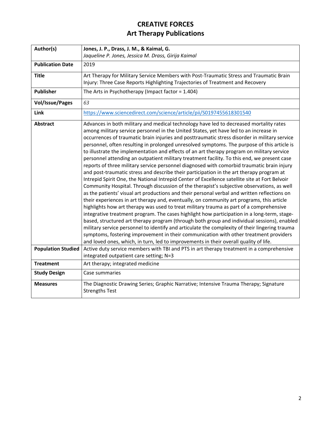<span id="page-4-1"></span><span id="page-4-0"></span>

| Author(s)                 | Jones, J. P., Drass, J. M., & Kaimal, G.                                                                                                                                                                                                                                                                                                                                                                                                                                                                                                                                                                                                                                                                                                                                                                                                                                                                                                                                                                                                                                                                                                                                                                                                                                                                                                                                                                                                                                                                                                                                                                                                                                                                                                         |
|---------------------------|--------------------------------------------------------------------------------------------------------------------------------------------------------------------------------------------------------------------------------------------------------------------------------------------------------------------------------------------------------------------------------------------------------------------------------------------------------------------------------------------------------------------------------------------------------------------------------------------------------------------------------------------------------------------------------------------------------------------------------------------------------------------------------------------------------------------------------------------------------------------------------------------------------------------------------------------------------------------------------------------------------------------------------------------------------------------------------------------------------------------------------------------------------------------------------------------------------------------------------------------------------------------------------------------------------------------------------------------------------------------------------------------------------------------------------------------------------------------------------------------------------------------------------------------------------------------------------------------------------------------------------------------------------------------------------------------------------------------------------------------------|
|                           | Jaqueline P. Jones, Jessica M. Drass, Girija Kaimal                                                                                                                                                                                                                                                                                                                                                                                                                                                                                                                                                                                                                                                                                                                                                                                                                                                                                                                                                                                                                                                                                                                                                                                                                                                                                                                                                                                                                                                                                                                                                                                                                                                                                              |
| <b>Publication Date</b>   | 2019                                                                                                                                                                                                                                                                                                                                                                                                                                                                                                                                                                                                                                                                                                                                                                                                                                                                                                                                                                                                                                                                                                                                                                                                                                                                                                                                                                                                                                                                                                                                                                                                                                                                                                                                             |
| <b>Title</b>              | Art Therapy for Military Service Members with Post-Traumatic Stress and Traumatic Brain<br>Injury: Three Case Reports Highlighting Trajectories of Treatment and Recovery                                                                                                                                                                                                                                                                                                                                                                                                                                                                                                                                                                                                                                                                                                                                                                                                                                                                                                                                                                                                                                                                                                                                                                                                                                                                                                                                                                                                                                                                                                                                                                        |
| <b>Publisher</b>          | The Arts in Psychotherapy (Impact factor = $1.404$ )                                                                                                                                                                                                                                                                                                                                                                                                                                                                                                                                                                                                                                                                                                                                                                                                                                                                                                                                                                                                                                                                                                                                                                                                                                                                                                                                                                                                                                                                                                                                                                                                                                                                                             |
| <b>Vol/Issue/Pages</b>    | 63                                                                                                                                                                                                                                                                                                                                                                                                                                                                                                                                                                                                                                                                                                                                                                                                                                                                                                                                                                                                                                                                                                                                                                                                                                                                                                                                                                                                                                                                                                                                                                                                                                                                                                                                               |
| <b>Link</b>               | https://www.sciencedirect.com/science/article/pii/S0197455618301540                                                                                                                                                                                                                                                                                                                                                                                                                                                                                                                                                                                                                                                                                                                                                                                                                                                                                                                                                                                                                                                                                                                                                                                                                                                                                                                                                                                                                                                                                                                                                                                                                                                                              |
| <b>Abstract</b>           | Advances in both military and medical technology have led to decreased mortality rates<br>among military service personnel in the United States, yet have led to an increase in<br>occurrences of traumatic brain injuries and posttraumatic stress disorder in military service<br>personnel, often resulting in prolonged unresolved symptoms. The purpose of this article is<br>to illustrate the implementation and effects of an art therapy program on military service<br>personnel attending an outpatient military treatment facility. To this end, we present case<br>reports of three military service personnel diagnosed with comorbid traumatic brain injury<br>and post-traumatic stress and describe their participation in the art therapy program at<br>Intrepid Spirit One, the National Intrepid Center of Excellence satellite site at Fort Belvoir<br>Community Hospital. Through discussion of the therapist's subjective observations, as well<br>as the patients' visual art productions and their personal verbal and written reflections on<br>their experiences in art therapy and, eventually, on community art programs, this article<br>highlights how art therapy was used to treat military trauma as part of a comprehensive<br>integrative treatment program. The cases highlight how participation in a long-term, stage-<br>based, structured art therapy program (through both group and individual sessions), enabled<br>military service personnel to identify and articulate the complexity of their lingering trauma<br>symptoms, fostering improvement in their communication with other treatment providers<br>and loved ones, which, in turn, led to improvements in their overall quality of life. |
| <b>Population Studied</b> | Active duty service members with TBI and PTS in art therapy treatment in a comprehensive<br>integrated outpatient care setting; N=3                                                                                                                                                                                                                                                                                                                                                                                                                                                                                                                                                                                                                                                                                                                                                                                                                                                                                                                                                                                                                                                                                                                                                                                                                                                                                                                                                                                                                                                                                                                                                                                                              |
| <b>Treatment</b>          | Art therapy; integrated medicine                                                                                                                                                                                                                                                                                                                                                                                                                                                                                                                                                                                                                                                                                                                                                                                                                                                                                                                                                                                                                                                                                                                                                                                                                                                                                                                                                                                                                                                                                                                                                                                                                                                                                                                 |
| <b>Study Design</b>       | Case summaries                                                                                                                                                                                                                                                                                                                                                                                                                                                                                                                                                                                                                                                                                                                                                                                                                                                                                                                                                                                                                                                                                                                                                                                                                                                                                                                                                                                                                                                                                                                                                                                                                                                                                                                                   |
| <b>Measures</b>           | The Diagnostic Drawing Series; Graphic Narrative; Intensive Trauma Therapy; Signature<br><b>Strengths Test</b>                                                                                                                                                                                                                                                                                                                                                                                                                                                                                                                                                                                                                                                                                                                                                                                                                                                                                                                                                                                                                                                                                                                                                                                                                                                                                                                                                                                                                                                                                                                                                                                                                                   |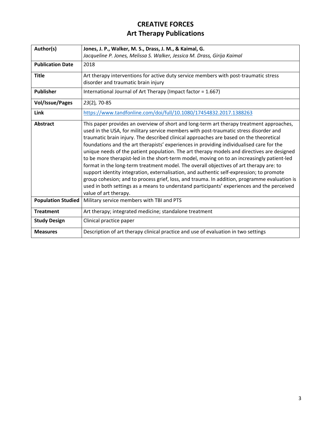<span id="page-5-1"></span><span id="page-5-0"></span>

| Author(s)                 | Jones, J. P., Walker, M. S., Drass, J. M., & Kaimal, G.                                                                                                                                                                                                                                                                                                                                                                                                                                                                                                                                                                                                                                                                                                                                                                                                                                                                                                                          |
|---------------------------|----------------------------------------------------------------------------------------------------------------------------------------------------------------------------------------------------------------------------------------------------------------------------------------------------------------------------------------------------------------------------------------------------------------------------------------------------------------------------------------------------------------------------------------------------------------------------------------------------------------------------------------------------------------------------------------------------------------------------------------------------------------------------------------------------------------------------------------------------------------------------------------------------------------------------------------------------------------------------------|
|                           | Jacqueline P. Jones, Melissa S. Walker, Jessica M. Drass, Girija Kaimal                                                                                                                                                                                                                                                                                                                                                                                                                                                                                                                                                                                                                                                                                                                                                                                                                                                                                                          |
| <b>Publication Date</b>   | 2018                                                                                                                                                                                                                                                                                                                                                                                                                                                                                                                                                                                                                                                                                                                                                                                                                                                                                                                                                                             |
| <b>Title</b>              | Art therapy interventions for active duty service members with post-traumatic stress<br>disorder and traumatic brain injury                                                                                                                                                                                                                                                                                                                                                                                                                                                                                                                                                                                                                                                                                                                                                                                                                                                      |
| <b>Publisher</b>          | International Journal of Art Therapy (Impact factor = 1.667)                                                                                                                                                                                                                                                                                                                                                                                                                                                                                                                                                                                                                                                                                                                                                                                                                                                                                                                     |
| <b>Vol/Issue/Pages</b>    | 23(2), 70-85                                                                                                                                                                                                                                                                                                                                                                                                                                                                                                                                                                                                                                                                                                                                                                                                                                                                                                                                                                     |
| Link                      | https://www.tandfonline.com/doi/full/10.1080/17454832.2017.1388263                                                                                                                                                                                                                                                                                                                                                                                                                                                                                                                                                                                                                                                                                                                                                                                                                                                                                                               |
| Abstract                  | This paper provides an overview of short and long-term art therapy treatment approaches,<br>used in the USA, for military service members with post-traumatic stress disorder and<br>traumatic brain injury. The described clinical approaches are based on the theoretical<br>foundations and the art therapists' experiences in providing individualised care for the<br>unique needs of the patient population. The art therapy models and directives are designed<br>to be more therapist-led in the short-term model, moving on to an increasingly patient-led<br>format in the long-term treatment model. The overall objectives of art therapy are: to<br>support identity integration, externalisation, and authentic self-expression; to promote<br>group cohesion; and to process grief, loss, and trauma. In addition, programme evaluation is<br>used in both settings as a means to understand participants' experiences and the perceived<br>value of art therapy. |
| <b>Population Studied</b> | Military service members with TBI and PTS                                                                                                                                                                                                                                                                                                                                                                                                                                                                                                                                                                                                                                                                                                                                                                                                                                                                                                                                        |
| <b>Treatment</b>          | Art therapy; integrated medicine; standalone treatment                                                                                                                                                                                                                                                                                                                                                                                                                                                                                                                                                                                                                                                                                                                                                                                                                                                                                                                           |
| <b>Study Design</b>       | Clinical practice paper                                                                                                                                                                                                                                                                                                                                                                                                                                                                                                                                                                                                                                                                                                                                                                                                                                                                                                                                                          |
| <b>Measures</b>           | Description of art therapy clinical practice and use of evaluation in two settings                                                                                                                                                                                                                                                                                                                                                                                                                                                                                                                                                                                                                                                                                                                                                                                                                                                                                               |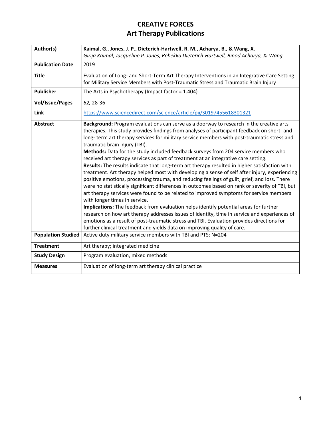<span id="page-6-1"></span><span id="page-6-0"></span>

| Author(s)                 | Kaimal, G., Jones, J. P., Dieterich-Hartwell, R. M., Acharya, B., & Wang, X.                                           |
|---------------------------|------------------------------------------------------------------------------------------------------------------------|
|                           | Girija Kaimal, Jacqueline P. Jones, Rebekka Dieterich-Hartwell, Binod Acharya, Xi Wang                                 |
| <b>Publication Date</b>   | 2019                                                                                                                   |
| <b>Title</b>              | Evaluation of Long- and Short-Term Art Therapy Interventions in an Integrative Care Setting                            |
|                           | for Military Service Members with Post-Traumatic Stress and Traumatic Brain Injury                                     |
| <b>Publisher</b>          | The Arts in Psychotherapy (Impact factor = $1.404$ )                                                                   |
| <b>Vol/Issue/Pages</b>    | 62, 28-36                                                                                                              |
| Link                      | https://www.sciencedirect.com/science/article/pii/S0197455618301321                                                    |
| <b>Abstract</b>           | Background: Program evaluations can serve as a doorway to research in the creative arts                                |
|                           | therapies. This study provides findings from analyses of participant feedback on short- and                            |
|                           | long-term art therapy services for military service members with post-traumatic stress and                             |
|                           | traumatic brain injury (TBI).                                                                                          |
|                           | Methods: Data for the study included feedback surveys from 204 service members who                                     |
|                           | received art therapy services as part of treatment at an integrative care setting.                                     |
|                           | Results: The results indicate that long-term art therapy resulted in higher satisfaction with                          |
|                           | treatment. Art therapy helped most with developing a sense of self after injury, experiencing                          |
|                           | positive emotions, processing trauma, and reducing feelings of guilt, grief, and loss. There                           |
|                           | were no statistically significant differences in outcomes based on rank or severity of TBI, but                        |
|                           | art therapy services were found to be related to improved symptoms for service members                                 |
|                           | with longer times in service.<br>Implications: The feedback from evaluation helps identify potential areas for further |
|                           | research on how art therapy addresses issues of identity, time in service and experiences of                           |
|                           | emotions as a result of post-traumatic stress and TBI. Evaluation provides directions for                              |
|                           | further clinical treatment and yields data on improving quality of care.                                               |
| <b>Population Studied</b> | Active duty military service members with TBI and PTS; N=204                                                           |
| <b>Treatment</b>          | Art therapy; integrated medicine                                                                                       |
| <b>Study Design</b>       | Program evaluation, mixed methods                                                                                      |
| <b>Measures</b>           | Evaluation of long-term art therapy clinical practice                                                                  |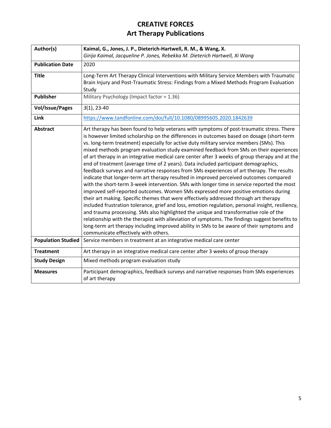<span id="page-7-1"></span><span id="page-7-0"></span>

| Author(s)                 | Kaimal, G., Jones, J. P., Dieterich-Hartwell, R. M., & Wang, X.                                                                                                                                                                                                                                                                                                                                                                                                                                                                                                                                                                                                                                                                                                                                                                                                                                                                                                                                                                                                                                                                                                                                                                                                                                                                                                                                                                                                                |
|---------------------------|--------------------------------------------------------------------------------------------------------------------------------------------------------------------------------------------------------------------------------------------------------------------------------------------------------------------------------------------------------------------------------------------------------------------------------------------------------------------------------------------------------------------------------------------------------------------------------------------------------------------------------------------------------------------------------------------------------------------------------------------------------------------------------------------------------------------------------------------------------------------------------------------------------------------------------------------------------------------------------------------------------------------------------------------------------------------------------------------------------------------------------------------------------------------------------------------------------------------------------------------------------------------------------------------------------------------------------------------------------------------------------------------------------------------------------------------------------------------------------|
|                           | Girija Kaimal, Jacqueline P. Jones, Rebekka M. Dieterich Hartwell, Xi Wang                                                                                                                                                                                                                                                                                                                                                                                                                                                                                                                                                                                                                                                                                                                                                                                                                                                                                                                                                                                                                                                                                                                                                                                                                                                                                                                                                                                                     |
| <b>Publication Date</b>   | 2020                                                                                                                                                                                                                                                                                                                                                                                                                                                                                                                                                                                                                                                                                                                                                                                                                                                                                                                                                                                                                                                                                                                                                                                                                                                                                                                                                                                                                                                                           |
| <b>Title</b>              | Long-Term Art Therapy Clinical Interventions with Military Service Members with Traumatic                                                                                                                                                                                                                                                                                                                                                                                                                                                                                                                                                                                                                                                                                                                                                                                                                                                                                                                                                                                                                                                                                                                                                                                                                                                                                                                                                                                      |
|                           | Brain Injury and Post-Traumatic Stress: Findings from a Mixed Methods Program Evaluation                                                                                                                                                                                                                                                                                                                                                                                                                                                                                                                                                                                                                                                                                                                                                                                                                                                                                                                                                                                                                                                                                                                                                                                                                                                                                                                                                                                       |
|                           | Study                                                                                                                                                                                                                                                                                                                                                                                                                                                                                                                                                                                                                                                                                                                                                                                                                                                                                                                                                                                                                                                                                                                                                                                                                                                                                                                                                                                                                                                                          |
| <b>Publisher</b>          | Military Psychology (Impact factor = 1.36)                                                                                                                                                                                                                                                                                                                                                                                                                                                                                                                                                                                                                                                                                                                                                                                                                                                                                                                                                                                                                                                                                                                                                                                                                                                                                                                                                                                                                                     |
| <b>Vol/Issue/Pages</b>    | $3(1), 23-40$                                                                                                                                                                                                                                                                                                                                                                                                                                                                                                                                                                                                                                                                                                                                                                                                                                                                                                                                                                                                                                                                                                                                                                                                                                                                                                                                                                                                                                                                  |
| Link                      | https://www.tandfonline.com/doi/full/10.1080/08995605.2020.1842639                                                                                                                                                                                                                                                                                                                                                                                                                                                                                                                                                                                                                                                                                                                                                                                                                                                                                                                                                                                                                                                                                                                                                                                                                                                                                                                                                                                                             |
| <b>Abstract</b>           | Art therapy has been found to help veterans with symptoms of post-traumatic stress. There<br>is however limited scholarship on the differences in outcomes based on dosage (short-term<br>vs. long-term treatment) especially for active duty military service members (SMs). This<br>mixed methods program evaluation study examined feedback from SMs on their experiences<br>of art therapy in an integrative medical care center after 3 weeks of group therapy and at the<br>end of treatment (average time of 2 years). Data included participant demographics,<br>feedback surveys and narrative responses from SMs experiences of art therapy. The results<br>indicate that longer-term art therapy resulted in improved perceived outcomes compared<br>with the short-term 3-week intervention. SMs with longer time in service reported the most<br>improved self-reported outcomes. Women SMs expressed more positive emotions during<br>their art making. Specific themes that were effectively addressed through art therapy<br>included frustration tolerance, grief and loss, emotion regulation, personal insight, resiliency,<br>and trauma processing. SMs also highlighted the unique and transformative role of the<br>relationship with the therapist with alleviation of symptoms. The findings suggest benefits to<br>long-term art therapy including improved ability in SMs to be aware of their symptoms and<br>communicate effectively with others. |
| <b>Population Studied</b> | Service members in treatment at an integrative medical care center                                                                                                                                                                                                                                                                                                                                                                                                                                                                                                                                                                                                                                                                                                                                                                                                                                                                                                                                                                                                                                                                                                                                                                                                                                                                                                                                                                                                             |
| <b>Treatment</b>          | Art therapy in an integrative medical care center after 3 weeks of group therapy                                                                                                                                                                                                                                                                                                                                                                                                                                                                                                                                                                                                                                                                                                                                                                                                                                                                                                                                                                                                                                                                                                                                                                                                                                                                                                                                                                                               |
| <b>Study Design</b>       | Mixed methods program evaluation study                                                                                                                                                                                                                                                                                                                                                                                                                                                                                                                                                                                                                                                                                                                                                                                                                                                                                                                                                                                                                                                                                                                                                                                                                                                                                                                                                                                                                                         |
| <b>Measures</b>           | Participant demographics, feedback surveys and narrative responses from SMs experiences                                                                                                                                                                                                                                                                                                                                                                                                                                                                                                                                                                                                                                                                                                                                                                                                                                                                                                                                                                                                                                                                                                                                                                                                                                                                                                                                                                                        |
|                           | of art therapy                                                                                                                                                                                                                                                                                                                                                                                                                                                                                                                                                                                                                                                                                                                                                                                                                                                                                                                                                                                                                                                                                                                                                                                                                                                                                                                                                                                                                                                                 |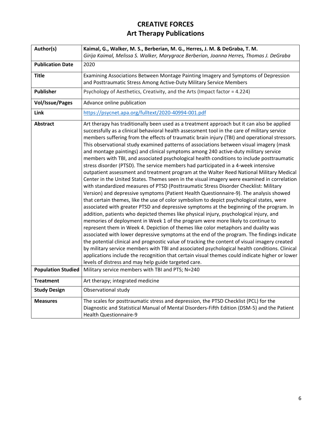<span id="page-8-1"></span><span id="page-8-0"></span>

| Author(s)                 | Kaimal, G., Walker, M. S., Berberian, M. G., Herres, J. M. & DeGraba, T. M.                                                                                                                                                                                                                                                                                                                                                                                                                                                                                                                                                                                                                                                                                                                                                                                                                                                                                                                                                                                                                                                                                                                                                                                                                                                                                                                                                                                                                                                                                                                                                                                                                                                                                                                                                                                                                                                                                          |
|---------------------------|----------------------------------------------------------------------------------------------------------------------------------------------------------------------------------------------------------------------------------------------------------------------------------------------------------------------------------------------------------------------------------------------------------------------------------------------------------------------------------------------------------------------------------------------------------------------------------------------------------------------------------------------------------------------------------------------------------------------------------------------------------------------------------------------------------------------------------------------------------------------------------------------------------------------------------------------------------------------------------------------------------------------------------------------------------------------------------------------------------------------------------------------------------------------------------------------------------------------------------------------------------------------------------------------------------------------------------------------------------------------------------------------------------------------------------------------------------------------------------------------------------------------------------------------------------------------------------------------------------------------------------------------------------------------------------------------------------------------------------------------------------------------------------------------------------------------------------------------------------------------------------------------------------------------------------------------------------------------|
|                           | Girija Kaimal, Melissa S. Walker, Marygrace Berberian, Joanna Herres, Thomas J. DeGraba                                                                                                                                                                                                                                                                                                                                                                                                                                                                                                                                                                                                                                                                                                                                                                                                                                                                                                                                                                                                                                                                                                                                                                                                                                                                                                                                                                                                                                                                                                                                                                                                                                                                                                                                                                                                                                                                              |
| <b>Publication Date</b>   | 2020                                                                                                                                                                                                                                                                                                                                                                                                                                                                                                                                                                                                                                                                                                                                                                                                                                                                                                                                                                                                                                                                                                                                                                                                                                                                                                                                                                                                                                                                                                                                                                                                                                                                                                                                                                                                                                                                                                                                                                 |
| <b>Title</b>              | Examining Associations Between Montage Painting Imagery and Symptoms of Depression<br>and Posttraumatic Stress Among Active-Duty Military Service Members                                                                                                                                                                                                                                                                                                                                                                                                                                                                                                                                                                                                                                                                                                                                                                                                                                                                                                                                                                                                                                                                                                                                                                                                                                                                                                                                                                                                                                                                                                                                                                                                                                                                                                                                                                                                            |
| Publisher                 | Psychology of Aesthetics, Creativity, and the Arts (Impact factor = 4.224)                                                                                                                                                                                                                                                                                                                                                                                                                                                                                                                                                                                                                                                                                                                                                                                                                                                                                                                                                                                                                                                                                                                                                                                                                                                                                                                                                                                                                                                                                                                                                                                                                                                                                                                                                                                                                                                                                           |
| <b>Vol/Issue/Pages</b>    | Advance online publication                                                                                                                                                                                                                                                                                                                                                                                                                                                                                                                                                                                                                                                                                                                                                                                                                                                                                                                                                                                                                                                                                                                                                                                                                                                                                                                                                                                                                                                                                                                                                                                                                                                                                                                                                                                                                                                                                                                                           |
| Link                      | https://psycnet.apa.org/fulltext/2020-40994-001.pdf                                                                                                                                                                                                                                                                                                                                                                                                                                                                                                                                                                                                                                                                                                                                                                                                                                                                                                                                                                                                                                                                                                                                                                                                                                                                                                                                                                                                                                                                                                                                                                                                                                                                                                                                                                                                                                                                                                                  |
| <b>Abstract</b>           | Art therapy has traditionally been used as a treatment approach but it can also be applied<br>successfully as a clinical behavioral health assessment tool in the care of military service<br>members suffering from the effects of traumatic brain injury (TBI) and operational stressors.<br>This observational study examined patterns of associations between visual imagery (mask<br>and montage paintings) and clinical symptoms among 240 active-duty military service<br>members with TBI, and associated psychological health conditions to include posttraumatic<br>stress disorder (PTSD). The service members had participated in a 4-week intensive<br>outpatient assessment and treatment program at the Walter Reed National Military Medical<br>Center in the United States. Themes seen in the visual imagery were examined in correlation<br>with standardized measures of PTSD (Posttraumatic Stress Disorder Checklist: Military<br>Version) and depressive symptoms (Patient Health Questionnaire-9). The analysis showed<br>that certain themes, like the use of color symbolism to depict psychological states, were<br>associated with greater PTSD and depressive symptoms at the beginning of the program. In<br>addition, patients who depicted themes like physical injury, psychological injury, and<br>memories of deployment in Week 1 of the program were more likely to continue to<br>represent them in Week 4. Depiction of themes like color metaphors and duality was<br>associated with lower depressive symptoms at the end of the program. The findings indicate<br>the potential clinical and prognostic value of tracking the content of visual imagery created<br>by military service members with TBI and associated psychological health conditions. Clinical<br>applications include the recognition that certain visual themes could indicate higher or lower<br>levels of distress and may help guide targeted care. |
| <b>Population Studied</b> | Military service members with TBI and PTS; N=240                                                                                                                                                                                                                                                                                                                                                                                                                                                                                                                                                                                                                                                                                                                                                                                                                                                                                                                                                                                                                                                                                                                                                                                                                                                                                                                                                                                                                                                                                                                                                                                                                                                                                                                                                                                                                                                                                                                     |
| <b>Treatment</b>          | Art therapy; integrated medicine                                                                                                                                                                                                                                                                                                                                                                                                                                                                                                                                                                                                                                                                                                                                                                                                                                                                                                                                                                                                                                                                                                                                                                                                                                                                                                                                                                                                                                                                                                                                                                                                                                                                                                                                                                                                                                                                                                                                     |
| <b>Study Design</b>       | Observational study                                                                                                                                                                                                                                                                                                                                                                                                                                                                                                                                                                                                                                                                                                                                                                                                                                                                                                                                                                                                                                                                                                                                                                                                                                                                                                                                                                                                                                                                                                                                                                                                                                                                                                                                                                                                                                                                                                                                                  |
| <b>Measures</b>           | The scales for posttraumatic stress and depression, the PTSD Checklist (PCL) for the<br>Diagnostic and Statistical Manual of Mental Disorders-Fifth Edition (DSM-5) and the Patient<br><b>Health Questionnaire-9</b>                                                                                                                                                                                                                                                                                                                                                                                                                                                                                                                                                                                                                                                                                                                                                                                                                                                                                                                                                                                                                                                                                                                                                                                                                                                                                                                                                                                                                                                                                                                                                                                                                                                                                                                                                 |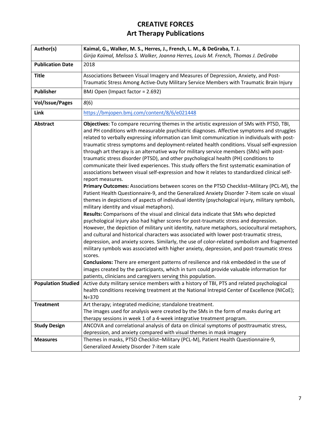<span id="page-9-1"></span><span id="page-9-0"></span>

| Author(s)                 | Kaimal, G., Walker, M. S., Herres, J., French, L. M., & DeGraba, T. J.                                                                                                                                                                                                                                                                                                                                                                                                                                                                                                                                                                                                                                                                                                                                                                                                                                                                                                                                                                                                                                                                                                                                                                                                                                                                                                                                                                                                                                                                                                                                                                                                                                                                                                                                                                                                                                                                                                         |
|---------------------------|--------------------------------------------------------------------------------------------------------------------------------------------------------------------------------------------------------------------------------------------------------------------------------------------------------------------------------------------------------------------------------------------------------------------------------------------------------------------------------------------------------------------------------------------------------------------------------------------------------------------------------------------------------------------------------------------------------------------------------------------------------------------------------------------------------------------------------------------------------------------------------------------------------------------------------------------------------------------------------------------------------------------------------------------------------------------------------------------------------------------------------------------------------------------------------------------------------------------------------------------------------------------------------------------------------------------------------------------------------------------------------------------------------------------------------------------------------------------------------------------------------------------------------------------------------------------------------------------------------------------------------------------------------------------------------------------------------------------------------------------------------------------------------------------------------------------------------------------------------------------------------------------------------------------------------------------------------------------------------|
|                           | Girija Kaimal, Melissa S. Walker, Joanna Herres, Louis M. French, Thomas J. DeGraba                                                                                                                                                                                                                                                                                                                                                                                                                                                                                                                                                                                                                                                                                                                                                                                                                                                                                                                                                                                                                                                                                                                                                                                                                                                                                                                                                                                                                                                                                                                                                                                                                                                                                                                                                                                                                                                                                            |
| <b>Publication Date</b>   | 2018                                                                                                                                                                                                                                                                                                                                                                                                                                                                                                                                                                                                                                                                                                                                                                                                                                                                                                                                                                                                                                                                                                                                                                                                                                                                                                                                                                                                                                                                                                                                                                                                                                                                                                                                                                                                                                                                                                                                                                           |
| <b>Title</b>              | Associations Between Visual Imagery and Measures of Depression, Anxiety, and Post-                                                                                                                                                                                                                                                                                                                                                                                                                                                                                                                                                                                                                                                                                                                                                                                                                                                                                                                                                                                                                                                                                                                                                                                                                                                                                                                                                                                                                                                                                                                                                                                                                                                                                                                                                                                                                                                                                             |
|                           | Traumatic Stress Among Active-Duty Military Service Members with Traumatic Brain Injury                                                                                                                                                                                                                                                                                                                                                                                                                                                                                                                                                                                                                                                                                                                                                                                                                                                                                                                                                                                                                                                                                                                                                                                                                                                                                                                                                                                                                                                                                                                                                                                                                                                                                                                                                                                                                                                                                        |
| <b>Publisher</b>          | BMJ Open (Impact factor = 2.692)                                                                                                                                                                                                                                                                                                                                                                                                                                                                                                                                                                                                                                                                                                                                                                                                                                                                                                                                                                                                                                                                                                                                                                                                                                                                                                                                                                                                                                                                                                                                                                                                                                                                                                                                                                                                                                                                                                                                               |
| <b>Vol/Issue/Pages</b>    | 8(6)                                                                                                                                                                                                                                                                                                                                                                                                                                                                                                                                                                                                                                                                                                                                                                                                                                                                                                                                                                                                                                                                                                                                                                                                                                                                                                                                                                                                                                                                                                                                                                                                                                                                                                                                                                                                                                                                                                                                                                           |
| Link                      | https://bmjopen.bmj.com/content/8/6/e021448                                                                                                                                                                                                                                                                                                                                                                                                                                                                                                                                                                                                                                                                                                                                                                                                                                                                                                                                                                                                                                                                                                                                                                                                                                                                                                                                                                                                                                                                                                                                                                                                                                                                                                                                                                                                                                                                                                                                    |
| <b>Abstract</b>           | Objectives: To compare recurring themes in the artistic expression of SMs with PTSD, TBI,<br>and PH conditions with measurable psychiatric diagnoses. Affective symptoms and struggles<br>related to verbally expressing information can limit communication in individuals with post-<br>traumatic stress symptoms and deployment-related health conditions. Visual self-expression<br>through art therapy is an alternative way for military service members (SMs) with post-<br>traumatic stress disorder (PTSD), and other psychological health (PH) conditions to<br>communicate their lived experiences. This study offers the first systematic examination of<br>associations between visual self-expression and how it relates to standardized clinical self-<br>report measures.<br>Primary Outcomes: Associations between scores on the PTSD Checklist-Military (PCL-M), the<br>Patient Health Questionnaire-9, and the Generalized Anxiety Disorder 7-item scale on visual<br>themes in depictions of aspects of individual identity (psychological injury, military symbols,<br>military identity and visual metaphors).<br>Results: Comparisons of the visual and clinical data indicate that SMs who depicted<br>psychological injury also had higher scores for post-traumatic stress and depression.<br>However, the depiction of military unit identity, nature metaphors, sociocultural metaphors,<br>and cultural and historical characters was associated with lower post-traumatic stress,<br>depression, and anxiety scores. Similarly, the use of color-related symbolism and fragmented<br>military symbols was associated with higher anxiety, depression, and post-traumatic stress<br>scores.<br>Conclusions: There are emergent patterns of resilience and risk embedded in the use of<br>images created by the participants, which in turn could provide valuable information for<br>patients, clinicians and caregivers serving this population. |
| <b>Population Studied</b> | Active duty military service members with a history of TBI, PTS and related psychological                                                                                                                                                                                                                                                                                                                                                                                                                                                                                                                                                                                                                                                                                                                                                                                                                                                                                                                                                                                                                                                                                                                                                                                                                                                                                                                                                                                                                                                                                                                                                                                                                                                                                                                                                                                                                                                                                      |
|                           | health conditions receiving treatment at the National Intrepid Center of Excellence (NICoE);<br>$N = 370$                                                                                                                                                                                                                                                                                                                                                                                                                                                                                                                                                                                                                                                                                                                                                                                                                                                                                                                                                                                                                                                                                                                                                                                                                                                                                                                                                                                                                                                                                                                                                                                                                                                                                                                                                                                                                                                                      |
| <b>Treatment</b>          | Art therapy; integrated medicine; standalone treatment.                                                                                                                                                                                                                                                                                                                                                                                                                                                                                                                                                                                                                                                                                                                                                                                                                                                                                                                                                                                                                                                                                                                                                                                                                                                                                                                                                                                                                                                                                                                                                                                                                                                                                                                                                                                                                                                                                                                        |
|                           | The images used for analysis were created by the SMs in the form of masks during art                                                                                                                                                                                                                                                                                                                                                                                                                                                                                                                                                                                                                                                                                                                                                                                                                                                                                                                                                                                                                                                                                                                                                                                                                                                                                                                                                                                                                                                                                                                                                                                                                                                                                                                                                                                                                                                                                           |
|                           | therapy sessions in week 1 of a 4-week integrative treatment program.                                                                                                                                                                                                                                                                                                                                                                                                                                                                                                                                                                                                                                                                                                                                                                                                                                                                                                                                                                                                                                                                                                                                                                                                                                                                                                                                                                                                                                                                                                                                                                                                                                                                                                                                                                                                                                                                                                          |
| <b>Study Design</b>       | ANCOVA and correlational analysis of data on clinical symptoms of posttraumatic stress,                                                                                                                                                                                                                                                                                                                                                                                                                                                                                                                                                                                                                                                                                                                                                                                                                                                                                                                                                                                                                                                                                                                                                                                                                                                                                                                                                                                                                                                                                                                                                                                                                                                                                                                                                                                                                                                                                        |
|                           | depression, and anxiety compared with visual themes in mask imagery                                                                                                                                                                                                                                                                                                                                                                                                                                                                                                                                                                                                                                                                                                                                                                                                                                                                                                                                                                                                                                                                                                                                                                                                                                                                                                                                                                                                                                                                                                                                                                                                                                                                                                                                                                                                                                                                                                            |
| <b>Measures</b>           | Themes in masks, PTSD Checklist-Military (PCL-M), Patient Health Questionnaire-9,                                                                                                                                                                                                                                                                                                                                                                                                                                                                                                                                                                                                                                                                                                                                                                                                                                                                                                                                                                                                                                                                                                                                                                                                                                                                                                                                                                                                                                                                                                                                                                                                                                                                                                                                                                                                                                                                                              |
|                           | Generalized Anxiety Disorder 7-item scale                                                                                                                                                                                                                                                                                                                                                                                                                                                                                                                                                                                                                                                                                                                                                                                                                                                                                                                                                                                                                                                                                                                                                                                                                                                                                                                                                                                                                                                                                                                                                                                                                                                                                                                                                                                                                                                                                                                                      |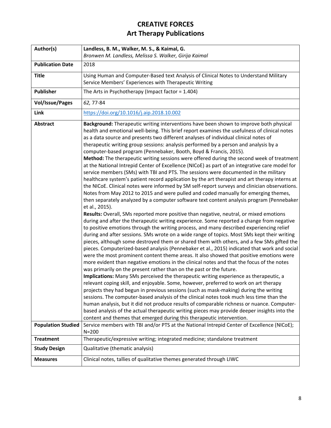<span id="page-10-1"></span><span id="page-10-0"></span>

| Author(s)                 | Landless, B. M., Walker, M. S., & Kaimal, G.                                                                                                                                                                                                                                                                                                                                                                                                                                                                                                                                                                                                                                                                                                                                                                                                                                                                                                                                                                                                                                                                                                                                                                                                                                                                                                                                                                                                                                                                                                                                                                                                                                                                                                                                                                                                                                                                                                                                                                                                                                                                                                                                                                                                                                                                                                                                                                                                                                                                                                                                                                                            |
|---------------------------|-----------------------------------------------------------------------------------------------------------------------------------------------------------------------------------------------------------------------------------------------------------------------------------------------------------------------------------------------------------------------------------------------------------------------------------------------------------------------------------------------------------------------------------------------------------------------------------------------------------------------------------------------------------------------------------------------------------------------------------------------------------------------------------------------------------------------------------------------------------------------------------------------------------------------------------------------------------------------------------------------------------------------------------------------------------------------------------------------------------------------------------------------------------------------------------------------------------------------------------------------------------------------------------------------------------------------------------------------------------------------------------------------------------------------------------------------------------------------------------------------------------------------------------------------------------------------------------------------------------------------------------------------------------------------------------------------------------------------------------------------------------------------------------------------------------------------------------------------------------------------------------------------------------------------------------------------------------------------------------------------------------------------------------------------------------------------------------------------------------------------------------------------------------------------------------------------------------------------------------------------------------------------------------------------------------------------------------------------------------------------------------------------------------------------------------------------------------------------------------------------------------------------------------------------------------------------------------------------------------------------------------------|
|                           | Bronwen M. Landless, Melissa S. Walker, Girija Kaimal                                                                                                                                                                                                                                                                                                                                                                                                                                                                                                                                                                                                                                                                                                                                                                                                                                                                                                                                                                                                                                                                                                                                                                                                                                                                                                                                                                                                                                                                                                                                                                                                                                                                                                                                                                                                                                                                                                                                                                                                                                                                                                                                                                                                                                                                                                                                                                                                                                                                                                                                                                                   |
| <b>Publication Date</b>   | 2018                                                                                                                                                                                                                                                                                                                                                                                                                                                                                                                                                                                                                                                                                                                                                                                                                                                                                                                                                                                                                                                                                                                                                                                                                                                                                                                                                                                                                                                                                                                                                                                                                                                                                                                                                                                                                                                                                                                                                                                                                                                                                                                                                                                                                                                                                                                                                                                                                                                                                                                                                                                                                                    |
| <b>Title</b>              | Using Human and Computer-Based text Analysis of Clinical Notes to Understand Military<br>Service Members' Experiences with Therapeutic Writing                                                                                                                                                                                                                                                                                                                                                                                                                                                                                                                                                                                                                                                                                                                                                                                                                                                                                                                                                                                                                                                                                                                                                                                                                                                                                                                                                                                                                                                                                                                                                                                                                                                                                                                                                                                                                                                                                                                                                                                                                                                                                                                                                                                                                                                                                                                                                                                                                                                                                          |
| <b>Publisher</b>          | The Arts in Psychotherapy (Impact factor = $1.404$ )                                                                                                                                                                                                                                                                                                                                                                                                                                                                                                                                                                                                                                                                                                                                                                                                                                                                                                                                                                                                                                                                                                                                                                                                                                                                                                                                                                                                                                                                                                                                                                                                                                                                                                                                                                                                                                                                                                                                                                                                                                                                                                                                                                                                                                                                                                                                                                                                                                                                                                                                                                                    |
| <b>Vol/Issue/Pages</b>    | 62, 77-84                                                                                                                                                                                                                                                                                                                                                                                                                                                                                                                                                                                                                                                                                                                                                                                                                                                                                                                                                                                                                                                                                                                                                                                                                                                                                                                                                                                                                                                                                                                                                                                                                                                                                                                                                                                                                                                                                                                                                                                                                                                                                                                                                                                                                                                                                                                                                                                                                                                                                                                                                                                                                               |
| Link                      | https://doi.org/10.1016/j.aip.2018.10.002                                                                                                                                                                                                                                                                                                                                                                                                                                                                                                                                                                                                                                                                                                                                                                                                                                                                                                                                                                                                                                                                                                                                                                                                                                                                                                                                                                                                                                                                                                                                                                                                                                                                                                                                                                                                                                                                                                                                                                                                                                                                                                                                                                                                                                                                                                                                                                                                                                                                                                                                                                                               |
| <b>Abstract</b>           | Background: Therapeutic writing interventions have been shown to improve both physical<br>health and emotional well-being. This brief report examines the usefulness of clinical notes<br>as a data source and presents two different analyses of individual clinical notes of<br>therapeutic writing group sessions: analysis performed by a person and analysis by a<br>computer-based program (Pennebaker, Booth, Boyd & Francis, 2015).<br>Method: The therapeutic writing sessions were offered during the second week of treatment<br>at the National Intrepid Center of Excellence (NICoE) as part of an integrative care model for<br>service members (SMs) with TBI and PTS. The sessions were documented in the military<br>healthcare system's patient record application by the art therapist and art therapy interns at<br>the NICoE. Clinical notes were informed by SM self-report surveys and clinician observations.<br>Notes from May 2012 to 2015 and were pulled and coded manually for emerging themes,<br>then separately analyzed by a computer software text content analysis program (Pennebaker<br>et al., 2015).<br>Results: Overall, SMs reported more positive than negative, neutral, or mixed emotions<br>during and after the therapeutic writing experience. Some reported a change from negative<br>to positive emotions through the writing process, and many described experiencing relief<br>during and after sessions. SMs wrote on a wide range of topics. Most SMs kept their writing<br>pieces, although some destroyed them or shared them with others, and a few SMs gifted the<br>pieces. Computerized-based analysis (Pennebaker et al., 2015) indicated that work and social<br>were the most prominent content theme areas. It also showed that positive emotions were<br>more evident than negative emotions in the clinical notes and that the focus of the notes<br>was primarily on the present rather than on the past or the future.<br>Implications: Many SMs perceived the therapeutic writing experience as therapeutic, a<br>relevant coping skill, and enjoyable. Some, however, preferred to work on art therapy<br>projects they had begun in previous sessions (such as mask-making) during the writing<br>sessions. The computer-based analysis of the clinical notes took much less time than the<br>human analysis, but it did not produce results of comparable richness or nuance. Computer-<br>based analysis of the actual therapeutic writing pieces may provide deeper insights into the<br>content and themes that emerged during this therapeutic intervention. |
| <b>Population Studied</b> | Service members with TBI and/or PTS at the National Intrepid Center of Excellence (NICoE);<br>$N = 200$                                                                                                                                                                                                                                                                                                                                                                                                                                                                                                                                                                                                                                                                                                                                                                                                                                                                                                                                                                                                                                                                                                                                                                                                                                                                                                                                                                                                                                                                                                                                                                                                                                                                                                                                                                                                                                                                                                                                                                                                                                                                                                                                                                                                                                                                                                                                                                                                                                                                                                                                 |
| <b>Treatment</b>          | Therapeutic/expressive writing; integrated medicine; standalone treatment                                                                                                                                                                                                                                                                                                                                                                                                                                                                                                                                                                                                                                                                                                                                                                                                                                                                                                                                                                                                                                                                                                                                                                                                                                                                                                                                                                                                                                                                                                                                                                                                                                                                                                                                                                                                                                                                                                                                                                                                                                                                                                                                                                                                                                                                                                                                                                                                                                                                                                                                                               |
| <b>Study Design</b>       | Qualitative (thematic analysis)                                                                                                                                                                                                                                                                                                                                                                                                                                                                                                                                                                                                                                                                                                                                                                                                                                                                                                                                                                                                                                                                                                                                                                                                                                                                                                                                                                                                                                                                                                                                                                                                                                                                                                                                                                                                                                                                                                                                                                                                                                                                                                                                                                                                                                                                                                                                                                                                                                                                                                                                                                                                         |
| <b>Measures</b>           | Clinical notes, tallies of qualitative themes generated through LIWC                                                                                                                                                                                                                                                                                                                                                                                                                                                                                                                                                                                                                                                                                                                                                                                                                                                                                                                                                                                                                                                                                                                                                                                                                                                                                                                                                                                                                                                                                                                                                                                                                                                                                                                                                                                                                                                                                                                                                                                                                                                                                                                                                                                                                                                                                                                                                                                                                                                                                                                                                                    |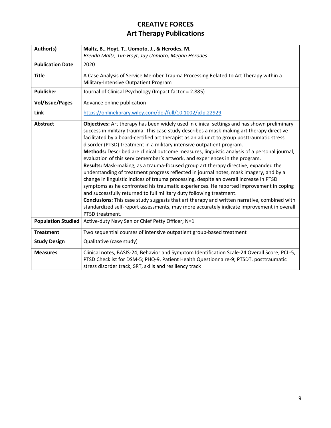<span id="page-11-1"></span><span id="page-11-0"></span>

| Author(s)                 | Maltz, B., Hoyt, T., Uomoto, J., & Herodes, M.                                                                                                                                                                                                                                                                                                                                                                                                                                                                                                                                                                                                                                                                                                                                                                                                                                                                                                                                                                                                                                                                                                                                                             |
|---------------------------|------------------------------------------------------------------------------------------------------------------------------------------------------------------------------------------------------------------------------------------------------------------------------------------------------------------------------------------------------------------------------------------------------------------------------------------------------------------------------------------------------------------------------------------------------------------------------------------------------------------------------------------------------------------------------------------------------------------------------------------------------------------------------------------------------------------------------------------------------------------------------------------------------------------------------------------------------------------------------------------------------------------------------------------------------------------------------------------------------------------------------------------------------------------------------------------------------------|
|                           | Brenda Maltz, Tim Hoyt, Jay Uomoto, Megan Herodes                                                                                                                                                                                                                                                                                                                                                                                                                                                                                                                                                                                                                                                                                                                                                                                                                                                                                                                                                                                                                                                                                                                                                          |
| <b>Publication Date</b>   | 2020                                                                                                                                                                                                                                                                                                                                                                                                                                                                                                                                                                                                                                                                                                                                                                                                                                                                                                                                                                                                                                                                                                                                                                                                       |
| <b>Title</b>              | A Case Analysis of Service Member Trauma Processing Related to Art Therapy within a                                                                                                                                                                                                                                                                                                                                                                                                                                                                                                                                                                                                                                                                                                                                                                                                                                                                                                                                                                                                                                                                                                                        |
|                           | Military-Intensive Outpatient Program                                                                                                                                                                                                                                                                                                                                                                                                                                                                                                                                                                                                                                                                                                                                                                                                                                                                                                                                                                                                                                                                                                                                                                      |
| <b>Publisher</b>          | Journal of Clinical Psychology (Impact factor = 2.885)                                                                                                                                                                                                                                                                                                                                                                                                                                                                                                                                                                                                                                                                                                                                                                                                                                                                                                                                                                                                                                                                                                                                                     |
| <b>Vol/Issue/Pages</b>    | Advance online publication                                                                                                                                                                                                                                                                                                                                                                                                                                                                                                                                                                                                                                                                                                                                                                                                                                                                                                                                                                                                                                                                                                                                                                                 |
| Link                      | https://onlinelibrary.wiley.com/doi/full/10.1002/jclp.22929                                                                                                                                                                                                                                                                                                                                                                                                                                                                                                                                                                                                                                                                                                                                                                                                                                                                                                                                                                                                                                                                                                                                                |
| <b>Abstract</b>           | Objectives: Art therapy has been widely used in clinical settings and has shown preliminary<br>success in military trauma. This case study describes a mask-making art therapy directive<br>facilitated by a board-certified art therapist as an adjunct to group posttraumatic stress<br>disorder (PTSD) treatment in a military intensive outpatient program.<br>Methods: Described are clinical outcome measures, linguistic analysis of a personal journal,<br>evaluation of this servicemember's artwork, and experiences in the program.<br>Results: Mask-making, as a trauma-focused group art therapy directive, expanded the<br>understanding of treatment progress reflected in journal notes, mask imagery, and by a<br>change in linguistic indices of trauma processing, despite an overall increase in PTSD<br>symptoms as he confronted his traumatic experiences. He reported improvement in coping<br>and successfully returned to full military duty following treatment.<br>Conclusions: This case study suggests that art therapy and written narrative, combined with<br>standardized self-report assessments, may more accurately indicate improvement in overall<br>PTSD treatment. |
| <b>Population Studied</b> | Active-duty Navy Senior Chief Petty Officer; N=1                                                                                                                                                                                                                                                                                                                                                                                                                                                                                                                                                                                                                                                                                                                                                                                                                                                                                                                                                                                                                                                                                                                                                           |
| <b>Treatment</b>          | Two sequential courses of intensive outpatient group-based treatment                                                                                                                                                                                                                                                                                                                                                                                                                                                                                                                                                                                                                                                                                                                                                                                                                                                                                                                                                                                                                                                                                                                                       |
| <b>Study Design</b>       | Qualitative (case study)                                                                                                                                                                                                                                                                                                                                                                                                                                                                                                                                                                                                                                                                                                                                                                                                                                                                                                                                                                                                                                                                                                                                                                                   |
| <b>Measures</b>           | Clinical notes, BASIS-24, Behavior and Symptom Identification Scale-24 Overall Score; PCL-5,<br>PTSD Checklist for DSM-5; PHQ-9, Patient Health Questionnaire-9; PTSDT, posttraumatic<br>stress disorder track; SRT, skills and resiliency track                                                                                                                                                                                                                                                                                                                                                                                                                                                                                                                                                                                                                                                                                                                                                                                                                                                                                                                                                           |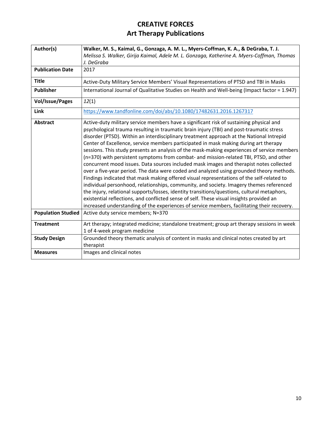<span id="page-12-1"></span><span id="page-12-0"></span>

| Author(s)                 | Walker, M. S., Kaimal, G., Gonzaga, A. M. L., Myers-Coffman, K. A., & DeGraba, T. J.                                                                                                                                                                                                                                                                                                                                                                                                                                                                                                                                                                                                                                                                                                                                                                                                                                                                                                                                                                                                                                                                                                                                                      |
|---------------------------|-------------------------------------------------------------------------------------------------------------------------------------------------------------------------------------------------------------------------------------------------------------------------------------------------------------------------------------------------------------------------------------------------------------------------------------------------------------------------------------------------------------------------------------------------------------------------------------------------------------------------------------------------------------------------------------------------------------------------------------------------------------------------------------------------------------------------------------------------------------------------------------------------------------------------------------------------------------------------------------------------------------------------------------------------------------------------------------------------------------------------------------------------------------------------------------------------------------------------------------------|
|                           | Melissa S. Walker, Girija Kaimal, Adele M. L. Gonzaga, Katherine A. Myers-Coffman, Thomas                                                                                                                                                                                                                                                                                                                                                                                                                                                                                                                                                                                                                                                                                                                                                                                                                                                                                                                                                                                                                                                                                                                                                 |
|                           | J. DeGraba                                                                                                                                                                                                                                                                                                                                                                                                                                                                                                                                                                                                                                                                                                                                                                                                                                                                                                                                                                                                                                                                                                                                                                                                                                |
| <b>Publication Date</b>   | 2017                                                                                                                                                                                                                                                                                                                                                                                                                                                                                                                                                                                                                                                                                                                                                                                                                                                                                                                                                                                                                                                                                                                                                                                                                                      |
| <b>Title</b>              | Active-Duty Military Service Members' Visual Representations of PTSD and TBI in Masks                                                                                                                                                                                                                                                                                                                                                                                                                                                                                                                                                                                                                                                                                                                                                                                                                                                                                                                                                                                                                                                                                                                                                     |
| <b>Publisher</b>          | International Journal of Qualitative Studies on Health and Well-being (Impact factor = 1.947)                                                                                                                                                                                                                                                                                                                                                                                                                                                                                                                                                                                                                                                                                                                                                                                                                                                                                                                                                                                                                                                                                                                                             |
| <b>Vol/Issue/Pages</b>    | 12(1)                                                                                                                                                                                                                                                                                                                                                                                                                                                                                                                                                                                                                                                                                                                                                                                                                                                                                                                                                                                                                                                                                                                                                                                                                                     |
| Link                      | https://www.tandfonline.com/doi/abs/10.1080/17482631.2016.1267317                                                                                                                                                                                                                                                                                                                                                                                                                                                                                                                                                                                                                                                                                                                                                                                                                                                                                                                                                                                                                                                                                                                                                                         |
| <b>Abstract</b>           | Active-duty military service members have a significant risk of sustaining physical and<br>psychological trauma resulting in traumatic brain injury (TBI) and post-traumatic stress<br>disorder (PTSD). Within an interdisciplinary treatment approach at the National Intrepid<br>Center of Excellence, service members participated in mask making during art therapy<br>sessions. This study presents an analysis of the mask-making experiences of service members<br>(n=370) with persistent symptoms from combat- and mission-related TBI, PTSD, and other<br>concurrent mood issues. Data sources included mask images and therapist notes collected<br>over a five-year period. The data were coded and analyzed using grounded theory methods.<br>Findings indicated that mask making offered visual representations of the self-related to<br>individual personhood, relationships, community, and society. Imagery themes referenced<br>the injury, relational supports/losses, identity transitions/questions, cultural metaphors,<br>existential reflections, and conflicted sense of self. These visual insights provided an<br>increased understanding of the experiences of service members, facilitating their recovery. |
| <b>Population Studied</b> | Active duty service members; N=370                                                                                                                                                                                                                                                                                                                                                                                                                                                                                                                                                                                                                                                                                                                                                                                                                                                                                                                                                                                                                                                                                                                                                                                                        |
| <b>Treatment</b>          | Art therapy; integrated medicine; standalone treatment; group art therapy sessions in week<br>1 of 4-week program medicine                                                                                                                                                                                                                                                                                                                                                                                                                                                                                                                                                                                                                                                                                                                                                                                                                                                                                                                                                                                                                                                                                                                |
| <b>Study Design</b>       | Grounded theory thematic analysis of content in masks and clinical notes created by art<br>therapist                                                                                                                                                                                                                                                                                                                                                                                                                                                                                                                                                                                                                                                                                                                                                                                                                                                                                                                                                                                                                                                                                                                                      |
| <b>Measures</b>           | Images and clinical notes                                                                                                                                                                                                                                                                                                                                                                                                                                                                                                                                                                                                                                                                                                                                                                                                                                                                                                                                                                                                                                                                                                                                                                                                                 |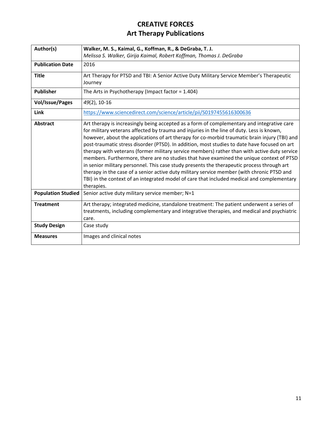<span id="page-13-1"></span><span id="page-13-0"></span>

| Author(s)                 | Walker, M. S., Kaimal, G., Koffman, R., & DeGraba, T. J.                                                                                                                                                                                                                                                                                                                                                                                                                                                                                                                                                                                                                                                                                                                                                                                                                                     |
|---------------------------|----------------------------------------------------------------------------------------------------------------------------------------------------------------------------------------------------------------------------------------------------------------------------------------------------------------------------------------------------------------------------------------------------------------------------------------------------------------------------------------------------------------------------------------------------------------------------------------------------------------------------------------------------------------------------------------------------------------------------------------------------------------------------------------------------------------------------------------------------------------------------------------------|
|                           | Melissa S. Walker, Girija Kaimal, Robert Koffman, Thomas J. DeGraba                                                                                                                                                                                                                                                                                                                                                                                                                                                                                                                                                                                                                                                                                                                                                                                                                          |
| <b>Publication Date</b>   | 2016                                                                                                                                                                                                                                                                                                                                                                                                                                                                                                                                                                                                                                                                                                                                                                                                                                                                                         |
| <b>Title</b>              | Art Therapy for PTSD and TBI: A Senior Active Duty Military Service Member's Therapeutic                                                                                                                                                                                                                                                                                                                                                                                                                                                                                                                                                                                                                                                                                                                                                                                                     |
|                           | Journey                                                                                                                                                                                                                                                                                                                                                                                                                                                                                                                                                                                                                                                                                                                                                                                                                                                                                      |
| <b>Publisher</b>          | The Arts in Psychotherapy (Impact factor = $1.404$ )                                                                                                                                                                                                                                                                                                                                                                                                                                                                                                                                                                                                                                                                                                                                                                                                                                         |
| <b>Vol/Issue/Pages</b>    | 49(2), 10-16                                                                                                                                                                                                                                                                                                                                                                                                                                                                                                                                                                                                                                                                                                                                                                                                                                                                                 |
| Link                      | https://www.sciencedirect.com/science/article/pii/S0197455616300636                                                                                                                                                                                                                                                                                                                                                                                                                                                                                                                                                                                                                                                                                                                                                                                                                          |
| <b>Abstract</b>           | Art therapy is increasingly being accepted as a form of complementary and integrative care<br>for military veterans affected by trauma and injuries in the line of duty. Less is known,<br>however, about the applications of art therapy for co-morbid traumatic brain injury (TBI) and<br>post-traumatic stress disorder (PTSD). In addition, most studies to date have focused on art<br>therapy with veterans (former military service members) rather than with active duty service<br>members. Furthermore, there are no studies that have examined the unique context of PTSD<br>in senior military personnel. This case study presents the therapeutic process through art<br>therapy in the case of a senior active duty military service member (with chronic PTSD and<br>TBI) in the context of an integrated model of care that included medical and complementary<br>therapies. |
| <b>Population Studied</b> | Senior active duty military service member; N=1                                                                                                                                                                                                                                                                                                                                                                                                                                                                                                                                                                                                                                                                                                                                                                                                                                              |
| <b>Treatment</b>          | Art therapy; integrated medicine, standalone treatment: The patient underwent a series of<br>treatments, including complementary and integrative therapies, and medical and psychiatric<br>care.                                                                                                                                                                                                                                                                                                                                                                                                                                                                                                                                                                                                                                                                                             |
| <b>Study Design</b>       | Case study                                                                                                                                                                                                                                                                                                                                                                                                                                                                                                                                                                                                                                                                                                                                                                                                                                                                                   |
| <b>Measures</b>           | Images and clinical notes                                                                                                                                                                                                                                                                                                                                                                                                                                                                                                                                                                                                                                                                                                                                                                                                                                                                    |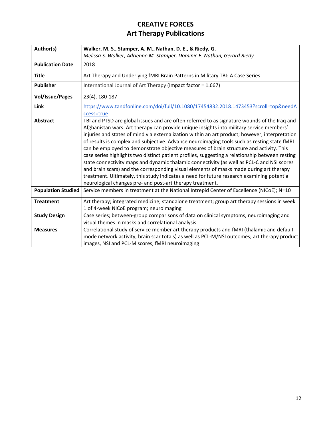<span id="page-14-1"></span><span id="page-14-0"></span>

| Author(s)                 | Walker, M. S., Stamper, A. M., Nathan, D. E., & Riedy, G.                                       |
|---------------------------|-------------------------------------------------------------------------------------------------|
|                           | Melissa S. Walker, Adrienne M. Stamper, Dominic E. Nathan, Gerard Riedy                         |
| <b>Publication Date</b>   | 2018                                                                                            |
| <b>Title</b>              | Art Therapy and Underlying fMRI Brain Patterns in Military TBI: A Case Series                   |
| <b>Publisher</b>          | International Journal of Art Therapy (Impact factor = 1.667)                                    |
| <b>Vol/Issue/Pages</b>    | 23(4), 180-187                                                                                  |
| Link                      | https://www.tandfonline.com/doi/full/10.1080/17454832.2018.1473453?scroll=top&needA             |
|                           | ccess=true                                                                                      |
| <b>Abstract</b>           | TBI and PTSD are global issues and are often referred to as signature wounds of the Iraq and    |
|                           | Afghanistan wars. Art therapy can provide unique insights into military service members'        |
|                           | injuries and states of mind via externalization within an art product; however, interpretation  |
|                           | of results is complex and subjective. Advance neuroimaging tools such as resting state fMRI     |
|                           | can be employed to demonstrate objective measures of brain structure and activity. This         |
|                           | case series highlights two distinct patient profiles, suggesting a relationship between resting |
|                           | state connectivity maps and dynamic thalamic connectivity (as well as PCL-C and NSI scores      |
|                           | and brain scars) and the corresponding visual elements of masks made during art therapy         |
|                           | treatment. Ultimately, this study indicates a need for future research examining potential      |
|                           | neurological changes pre- and post-art therapy treatment.                                       |
| <b>Population Studied</b> | Service members in treatment at the National Intrepid Center of Excellence (NICoE); N=10        |
| <b>Treatment</b>          | Art therapy; integrated medicine; standalone treatment; group art therapy sessions in week      |
|                           | 1 of 4-week NICoE program; neuroimaging                                                         |
| <b>Study Design</b>       | Case series; between-group comparisons of data on clinical symptoms, neuroimaging and           |
|                           | visual themes in masks and correlational analysis                                               |
| <b>Measures</b>           | Correlational study of service member art therapy products and fMRI (thalamic and default       |
|                           | mode network activity, brain scar totals) as well as PCL-M/NSI outcomes; art therapy product    |
|                           | images, NSI and PCL-M scores, fMRI neuroimaging                                                 |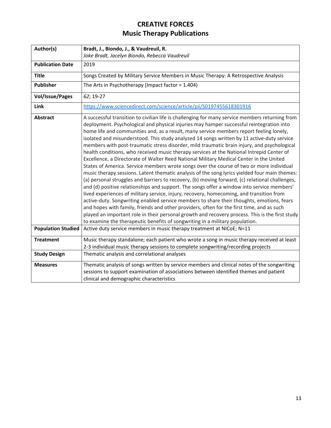<span id="page-15-1"></span><span id="page-15-0"></span>

| Author(s)                                    | Bradt, J., Biondo, J., & Vaudreuil, R.                                                                                                                                                                                                                                                                                                                                                                                                                                                                                                                                                                                                                                                                                                                                                                                                                                                                                                                                                                                                                                                                                                                                                                                                                                                                                                                                                                                                                                                                                                                                                                                      |
|----------------------------------------------|-----------------------------------------------------------------------------------------------------------------------------------------------------------------------------------------------------------------------------------------------------------------------------------------------------------------------------------------------------------------------------------------------------------------------------------------------------------------------------------------------------------------------------------------------------------------------------------------------------------------------------------------------------------------------------------------------------------------------------------------------------------------------------------------------------------------------------------------------------------------------------------------------------------------------------------------------------------------------------------------------------------------------------------------------------------------------------------------------------------------------------------------------------------------------------------------------------------------------------------------------------------------------------------------------------------------------------------------------------------------------------------------------------------------------------------------------------------------------------------------------------------------------------------------------------------------------------------------------------------------------------|
|                                              | Joke Bradt, Jacelyn Biondo, Rebecca Vaudreuil                                                                                                                                                                                                                                                                                                                                                                                                                                                                                                                                                                                                                                                                                                                                                                                                                                                                                                                                                                                                                                                                                                                                                                                                                                                                                                                                                                                                                                                                                                                                                                               |
| <b>Publication Date</b>                      | 2019                                                                                                                                                                                                                                                                                                                                                                                                                                                                                                                                                                                                                                                                                                                                                                                                                                                                                                                                                                                                                                                                                                                                                                                                                                                                                                                                                                                                                                                                                                                                                                                                                        |
| <b>Title</b>                                 | Songs Created by Military Service Members in Music Therapy: A Retrospective Analysis                                                                                                                                                                                                                                                                                                                                                                                                                                                                                                                                                                                                                                                                                                                                                                                                                                                                                                                                                                                                                                                                                                                                                                                                                                                                                                                                                                                                                                                                                                                                        |
| <b>Publisher</b>                             | The Arts in Psychotherapy (Impact factor = 1.404)                                                                                                                                                                                                                                                                                                                                                                                                                                                                                                                                                                                                                                                                                                                                                                                                                                                                                                                                                                                                                                                                                                                                                                                                                                                                                                                                                                                                                                                                                                                                                                           |
| <b>Vol/Issue/Pages</b>                       | 62; 19-27                                                                                                                                                                                                                                                                                                                                                                                                                                                                                                                                                                                                                                                                                                                                                                                                                                                                                                                                                                                                                                                                                                                                                                                                                                                                                                                                                                                                                                                                                                                                                                                                                   |
| Link                                         | https://www.sciencedirect.com/science/article/pii/S0197455618301916                                                                                                                                                                                                                                                                                                                                                                                                                                                                                                                                                                                                                                                                                                                                                                                                                                                                                                                                                                                                                                                                                                                                                                                                                                                                                                                                                                                                                                                                                                                                                         |
| <b>Abstract</b><br><b>Population Studied</b> | A successful transition to civilian life is challenging for many service members returning from<br>deployment. Psychological and physical injuries may hamper successful reintegration into<br>home life and communities and, as a result, many service members report feeling lonely,<br>isolated and misunderstood. This study analyzed 14 songs written by 11 active-duty service<br>members with post-traumatic stress disorder, mild traumatic brain injury, and psychological<br>health conditions, who received music therapy services at the National Intrepid Center of<br>Excellence, a Directorate of Walter Reed National Military Medical Center in the United<br>States of America. Service members wrote songs over the course of two or more individual<br>music therapy sessions. Latent thematic analysis of the song lyrics yielded four main themes:<br>(a) personal struggles and barriers to recovery, (b) moving forward, (c) relational challenges,<br>and (d) positive relationships and support. The songs offer a window into service members'<br>lived experiences of military service, injury, recovery, homecoming, and transition from<br>active-duty. Songwriting enabled service members to share their thoughts, emotions, fears<br>and hopes with family, friends and other providers, often for the first time, and as such<br>played an important role in their personal growth and recovery process. This is the first study<br>to examine the therapeutic benefits of songwriting in a military population.<br>Active duty service members in music therapy treatment at NICoE; N=11 |
|                                              |                                                                                                                                                                                                                                                                                                                                                                                                                                                                                                                                                                                                                                                                                                                                                                                                                                                                                                                                                                                                                                                                                                                                                                                                                                                                                                                                                                                                                                                                                                                                                                                                                             |
| <b>Treatment</b>                             | Music therapy standalone; each patient who wrote a song in music therapy received at least<br>2-3 individual music therapy sessions to complete songwriting/recording projects                                                                                                                                                                                                                                                                                                                                                                                                                                                                                                                                                                                                                                                                                                                                                                                                                                                                                                                                                                                                                                                                                                                                                                                                                                                                                                                                                                                                                                              |
| <b>Study Design</b>                          | Thematic analysis and correlational analyses                                                                                                                                                                                                                                                                                                                                                                                                                                                                                                                                                                                                                                                                                                                                                                                                                                                                                                                                                                                                                                                                                                                                                                                                                                                                                                                                                                                                                                                                                                                                                                                |
| <b>Measures</b>                              | Thematic analysis of songs written by service members and clinical notes of the songwriting<br>sessions to support examination of associations between identified themes and patient<br>clinical and demographic characteristics                                                                                                                                                                                                                                                                                                                                                                                                                                                                                                                                                                                                                                                                                                                                                                                                                                                                                                                                                                                                                                                                                                                                                                                                                                                                                                                                                                                            |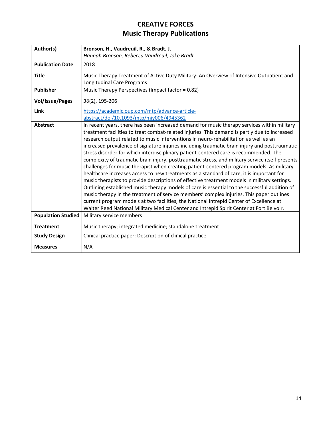<span id="page-16-1"></span><span id="page-16-0"></span>

| Author(s)                 | Bronson, H., Vaudreuil, R., & Bradt, J.                                                                                |
|---------------------------|------------------------------------------------------------------------------------------------------------------------|
|                           | Hannah Bronson, Rebecca Vaudreuil, Joke Bradt                                                                          |
| <b>Publication Date</b>   | 2018                                                                                                                   |
| <b>Title</b>              | Music Therapy Treatment of Active Duty Military: An Overview of Intensive Outpatient and<br>Longitudinal Care Programs |
| <b>Publisher</b>          | Music Therapy Perspectives (Impact factor = 0.82)                                                                      |
| <b>Vol/Issue/Pages</b>    | 36(2), 195-206                                                                                                         |
| Link                      | https://academic.oup.com/mtp/advance-article-                                                                          |
|                           | abstract/doi/10.1093/mtp/miy006/4945362                                                                                |
| <b>Abstract</b>           | In recent years, there has been increased demand for music therapy services within military                            |
|                           | treatment facilities to treat combat-related injuries. This demand is partly due to increased                          |
|                           | research output related to music interventions in neuro-rehabilitation as well as an                                   |
|                           | increased prevalence of signature injuries including traumatic brain injury and posttraumatic                          |
|                           | stress disorder for which interdisciplinary patient-centered care is recommended. The                                  |
|                           | complexity of traumatic brain injury, posttraumatic stress, and military service itself presents                       |
|                           | challenges for music therapist when creating patient-centered program models. As military                              |
|                           | healthcare increases access to new treatments as a standard of care, it is important for                               |
|                           | music therapists to provide descriptions of effective treatment models in military settings.                           |
|                           | Outlining established music therapy models of care is essential to the successful addition of                          |
|                           | music therapy in the treatment of service members' complex injuries. This paper outlines                               |
|                           | current program models at two facilities, the National Intrepid Center of Excellence at                                |
|                           | Walter Reed National Military Medical Center and Intrepid Spirit Center at Fort Belvoir.                               |
| <b>Population Studied</b> | Military service members                                                                                               |
| <b>Treatment</b>          | Music therapy; integrated medicine; standalone treatment                                                               |
| <b>Study Design</b>       | Clinical practice paper: Description of clinical practice                                                              |
| <b>Measures</b>           | N/A                                                                                                                    |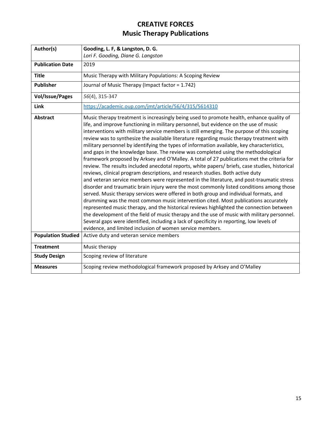<span id="page-17-1"></span><span id="page-17-0"></span>

| Author(s)                 | Gooding, L. F, & Langston, D. G.                                                                                                                                                                                                                                                                                                                                                                                                                                                                                                                                                                                                                                                                                                                                                                                                                                                                                                                                                                                                                                                                                                                                                                                                                                                                                                                                                                                                                                                                                                                                               |
|---------------------------|--------------------------------------------------------------------------------------------------------------------------------------------------------------------------------------------------------------------------------------------------------------------------------------------------------------------------------------------------------------------------------------------------------------------------------------------------------------------------------------------------------------------------------------------------------------------------------------------------------------------------------------------------------------------------------------------------------------------------------------------------------------------------------------------------------------------------------------------------------------------------------------------------------------------------------------------------------------------------------------------------------------------------------------------------------------------------------------------------------------------------------------------------------------------------------------------------------------------------------------------------------------------------------------------------------------------------------------------------------------------------------------------------------------------------------------------------------------------------------------------------------------------------------------------------------------------------------|
|                           | Lori F. Gooding, Diane G. Langston                                                                                                                                                                                                                                                                                                                                                                                                                                                                                                                                                                                                                                                                                                                                                                                                                                                                                                                                                                                                                                                                                                                                                                                                                                                                                                                                                                                                                                                                                                                                             |
| <b>Publication Date</b>   | 2019                                                                                                                                                                                                                                                                                                                                                                                                                                                                                                                                                                                                                                                                                                                                                                                                                                                                                                                                                                                                                                                                                                                                                                                                                                                                                                                                                                                                                                                                                                                                                                           |
| <b>Title</b>              | Music Therapy with Military Populations: A Scoping Review                                                                                                                                                                                                                                                                                                                                                                                                                                                                                                                                                                                                                                                                                                                                                                                                                                                                                                                                                                                                                                                                                                                                                                                                                                                                                                                                                                                                                                                                                                                      |
| <b>Publisher</b>          | Journal of Music Therapy (Impact factor = 1.742)                                                                                                                                                                                                                                                                                                                                                                                                                                                                                                                                                                                                                                                                                                                                                                                                                                                                                                                                                                                                                                                                                                                                                                                                                                                                                                                                                                                                                                                                                                                               |
| <b>Vol/Issue/Pages</b>    | 56(4), 315-347                                                                                                                                                                                                                                                                                                                                                                                                                                                                                                                                                                                                                                                                                                                                                                                                                                                                                                                                                                                                                                                                                                                                                                                                                                                                                                                                                                                                                                                                                                                                                                 |
| <b>Link</b>               | https://academic.oup.com/jmt/article/56/4/315/5614310                                                                                                                                                                                                                                                                                                                                                                                                                                                                                                                                                                                                                                                                                                                                                                                                                                                                                                                                                                                                                                                                                                                                                                                                                                                                                                                                                                                                                                                                                                                          |
| <b>Abstract</b>           | Music therapy treatment is increasingly being used to promote health, enhance quality of<br>life, and improve functioning in military personnel, but evidence on the use of music<br>interventions with military service members is still emerging. The purpose of this scoping<br>review was to synthesize the available literature regarding music therapy treatment with<br>military personnel by identifying the types of information available, key characteristics,<br>and gaps in the knowledge base. The review was completed using the methodological<br>framework proposed by Arksey and O'Malley. A total of 27 publications met the criteria for<br>review. The results included anecdotal reports, white papers/ briefs, case studies, historical<br>reviews, clinical program descriptions, and research studies. Both active duty<br>and veteran service members were represented in the literature, and post-traumatic stress<br>disorder and traumatic brain injury were the most commonly listed conditions among those<br>served. Music therapy services were offered in both group and individual formats, and<br>drumming was the most common music intervention cited. Most publications accurately<br>represented music therapy, and the historical reviews highlighted the connection between<br>the development of the field of music therapy and the use of music with military personnel.<br>Several gaps were identified, including a lack of specificity in reporting, low levels of<br>evidence, and limited inclusion of women service members. |
| <b>Population Studied</b> | Active duty and veteran service members                                                                                                                                                                                                                                                                                                                                                                                                                                                                                                                                                                                                                                                                                                                                                                                                                                                                                                                                                                                                                                                                                                                                                                                                                                                                                                                                                                                                                                                                                                                                        |
| <b>Treatment</b>          | Music therapy                                                                                                                                                                                                                                                                                                                                                                                                                                                                                                                                                                                                                                                                                                                                                                                                                                                                                                                                                                                                                                                                                                                                                                                                                                                                                                                                                                                                                                                                                                                                                                  |
| <b>Study Design</b>       | Scoping review of literature                                                                                                                                                                                                                                                                                                                                                                                                                                                                                                                                                                                                                                                                                                                                                                                                                                                                                                                                                                                                                                                                                                                                                                                                                                                                                                                                                                                                                                                                                                                                                   |
| <b>Measures</b>           | Scoping review methodological framework proposed by Arksey and O'Malley                                                                                                                                                                                                                                                                                                                                                                                                                                                                                                                                                                                                                                                                                                                                                                                                                                                                                                                                                                                                                                                                                                                                                                                                                                                                                                                                                                                                                                                                                                        |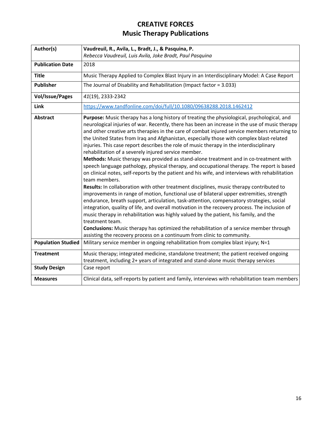<span id="page-18-1"></span><span id="page-18-0"></span>

| Author(s)                 | Vaudreuil, R., Avila, L., Bradt, J., & Pasquina, P.                                                                                                                                                                                                                                                                                                                                                                                                                                                                                                                                                                                                                                                                                                                                                                                                                                                                                                                                                                                                                                                                                                                                                                                                                                                                                                                                                                                                                                                                             |
|---------------------------|---------------------------------------------------------------------------------------------------------------------------------------------------------------------------------------------------------------------------------------------------------------------------------------------------------------------------------------------------------------------------------------------------------------------------------------------------------------------------------------------------------------------------------------------------------------------------------------------------------------------------------------------------------------------------------------------------------------------------------------------------------------------------------------------------------------------------------------------------------------------------------------------------------------------------------------------------------------------------------------------------------------------------------------------------------------------------------------------------------------------------------------------------------------------------------------------------------------------------------------------------------------------------------------------------------------------------------------------------------------------------------------------------------------------------------------------------------------------------------------------------------------------------------|
|                           | Rebecca Vaudreuil, Luis Avila, Joke Bradt, Paul Pasquina                                                                                                                                                                                                                                                                                                                                                                                                                                                                                                                                                                                                                                                                                                                                                                                                                                                                                                                                                                                                                                                                                                                                                                                                                                                                                                                                                                                                                                                                        |
| <b>Publication Date</b>   | 2018                                                                                                                                                                                                                                                                                                                                                                                                                                                                                                                                                                                                                                                                                                                                                                                                                                                                                                                                                                                                                                                                                                                                                                                                                                                                                                                                                                                                                                                                                                                            |
| <b>Title</b>              | Music Therapy Applied to Complex Blast Injury in an Interdisciplinary Model: A Case Report                                                                                                                                                                                                                                                                                                                                                                                                                                                                                                                                                                                                                                                                                                                                                                                                                                                                                                                                                                                                                                                                                                                                                                                                                                                                                                                                                                                                                                      |
| <b>Publisher</b>          | The Journal of Disability and Rehabilitation (Impact factor = 3.033)                                                                                                                                                                                                                                                                                                                                                                                                                                                                                                                                                                                                                                                                                                                                                                                                                                                                                                                                                                                                                                                                                                                                                                                                                                                                                                                                                                                                                                                            |
| <b>Vol/Issue/Pages</b>    | 41(19), 2333-2342                                                                                                                                                                                                                                                                                                                                                                                                                                                                                                                                                                                                                                                                                                                                                                                                                                                                                                                                                                                                                                                                                                                                                                                                                                                                                                                                                                                                                                                                                                               |
| Link                      | https://www.tandfonline.com/doi/full/10.1080/09638288.2018.1462412                                                                                                                                                                                                                                                                                                                                                                                                                                                                                                                                                                                                                                                                                                                                                                                                                                                                                                                                                                                                                                                                                                                                                                                                                                                                                                                                                                                                                                                              |
| <b>Abstract</b>           | Purpose: Music therapy has a long history of treating the physiological, psychological, and<br>neurological injuries of war. Recently, there has been an increase in the use of music therapy<br>and other creative arts therapies in the care of combat injured service members returning to<br>the United States from Iraq and Afghanistan, especially those with complex blast-related<br>injuries. This case report describes the role of music therapy in the interdisciplinary<br>rehabilitation of a severely injured service member.<br>Methods: Music therapy was provided as stand-alone treatment and in co-treatment with<br>speech language pathology, physical therapy, and occupational therapy. The report is based<br>on clinical notes, self-reports by the patient and his wife, and interviews with rehabilitation<br>team members.<br>Results: In collaboration with other treatment disciplines, music therapy contributed to<br>improvements in range of motion, functional use of bilateral upper extremities, strength<br>endurance, breath support, articulation, task-attention, compensatory strategies, social<br>integration, quality of life, and overall motivation in the recovery process. The inclusion of<br>music therapy in rehabilitation was highly valued by the patient, his family, and the<br>treatment team.<br>Conclusions: Music therapy has optimized the rehabilitation of a service member through<br>assisting the recovery process on a continuum from clinic to community. |
| <b>Population Studied</b> | Military service member in ongoing rehabilitation from complex blast injury; N=1                                                                                                                                                                                                                                                                                                                                                                                                                                                                                                                                                                                                                                                                                                                                                                                                                                                                                                                                                                                                                                                                                                                                                                                                                                                                                                                                                                                                                                                |
| <b>Treatment</b>          | Music therapy; integrated medicine, standalone treatment; the patient received ongoing<br>treatment, including 2+ years of integrated and stand-alone music therapy services                                                                                                                                                                                                                                                                                                                                                                                                                                                                                                                                                                                                                                                                                                                                                                                                                                                                                                                                                                                                                                                                                                                                                                                                                                                                                                                                                    |
| <b>Study Design</b>       | Case report                                                                                                                                                                                                                                                                                                                                                                                                                                                                                                                                                                                                                                                                                                                                                                                                                                                                                                                                                                                                                                                                                                                                                                                                                                                                                                                                                                                                                                                                                                                     |
| <b>Measures</b>           | Clinical data, self-reports by patient and family, interviews with rehabilitation team members                                                                                                                                                                                                                                                                                                                                                                                                                                                                                                                                                                                                                                                                                                                                                                                                                                                                                                                                                                                                                                                                                                                                                                                                                                                                                                                                                                                                                                  |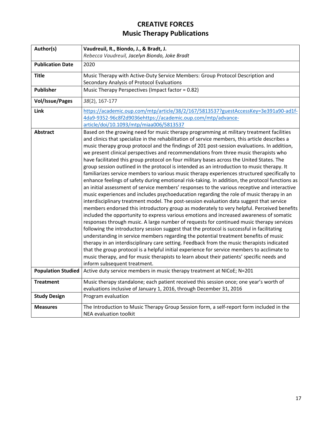<span id="page-19-1"></span><span id="page-19-0"></span>

| Author(s)                 | Vaudreuil, R., Biondo, J., & Bradt, J.                                                                                                                                                   |
|---------------------------|------------------------------------------------------------------------------------------------------------------------------------------------------------------------------------------|
|                           | Rebecca Vaudreuil, Jacelyn Biondo, Joke Bradt                                                                                                                                            |
| <b>Publication Date</b>   | 2020                                                                                                                                                                                     |
| <b>Title</b>              | Music Therapy with Active-Duty Service Members: Group Protocol Description and                                                                                                           |
|                           | Secondary Analysis of Protocol Evaluations                                                                                                                                               |
| Publisher                 | Music Therapy Perspectives (Impact factor = 0.82)                                                                                                                                        |
| <b>Vol/Issue/Pages</b>    | 38(2), 167-177                                                                                                                                                                           |
| Link                      | https://academic.oup.com/mtp/article/38/2/167/5813537?guestAccessKey=3e391a90-ad1f-                                                                                                      |
|                           | 4da9-9352-96c8f2d9036ehttps://academic.oup.com/mtp/advance-                                                                                                                              |
|                           | article/doi/10.1093/mtp/miaa006/5813537                                                                                                                                                  |
| <b>Abstract</b>           | Based on the growing need for music therapy programming at military treatment facilities                                                                                                 |
|                           | and clinics that specialize in the rehabilitation of service members, this article describes a                                                                                           |
|                           | music therapy group protocol and the findings of 201 post-session evaluations. In addition,                                                                                              |
|                           | we present clinical perspectives and recommendations from three music therapists who                                                                                                     |
|                           | have facilitated this group protocol on four military bases across the United States. The                                                                                                |
|                           | group session outlined in the protocol is intended as an introduction to music therapy. It                                                                                               |
|                           | familiarizes service members to various music therapy experiences structured specifically to                                                                                             |
|                           | enhance feelings of safety during emotional risk-taking. In addition, the protocol functions as                                                                                          |
|                           | an initial assessment of service members' responses to the various receptive and interactive<br>music experiences and includes psychoeducation regarding the role of music therapy in an |
|                           | interdisciplinary treatment model. The post-session evaluation data suggest that service                                                                                                 |
|                           | members endorsed this introductory group as moderately to very helpful. Perceived benefits                                                                                               |
|                           | included the opportunity to express various emotions and increased awareness of somatic                                                                                                  |
|                           | responses through music. A large number of requests for continued music therapy services                                                                                                 |
|                           | following the introductory session suggest that the protocol is successful in facilitating                                                                                               |
|                           | understanding in service members regarding the potential treatment benefits of music                                                                                                     |
|                           | therapy in an interdisciplinary care setting. Feedback from the music therapists indicated                                                                                               |
|                           | that the group protocol is a helpful initial experience for service members to acclimate to                                                                                              |
|                           | music therapy, and for music therapists to learn about their patients' specific needs and                                                                                                |
|                           | inform subsequent treatment.                                                                                                                                                             |
| <b>Population Studied</b> | Active duty service members in music therapy treatment at NICoE; N=201                                                                                                                   |
| <b>Treatment</b>          | Music therapy standalone; each patient received this session once; one year's worth of                                                                                                   |
|                           | evaluations inclusive of January 1, 2016, through December 31, 2016                                                                                                                      |
| <b>Study Design</b>       | Program evaluation                                                                                                                                                                       |
| <b>Measures</b>           | The Introduction to Music Therapy Group Session form, a self-report form included in the                                                                                                 |
|                           | NEA evaluation toolkit                                                                                                                                                                   |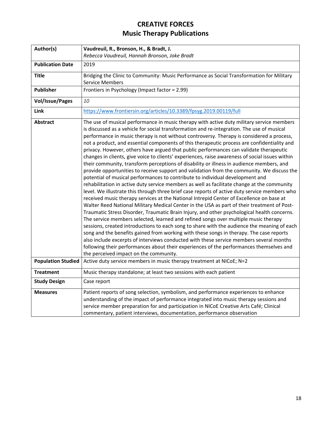<span id="page-20-1"></span><span id="page-20-0"></span>

| Author(s)                 | Vaudreuil, R., Bronson, H., & Bradt, J.                                                                                                                                                                                                                                                                                                                                                                                                                                                                                                                                                                                                                                                                                                                                                                                                                                                                                                                                                                                                                                                                                                                                                                                                                                                                                                                                                                                                                                                                                                                                                                                                                                                                                                                                                                                      |
|---------------------------|------------------------------------------------------------------------------------------------------------------------------------------------------------------------------------------------------------------------------------------------------------------------------------------------------------------------------------------------------------------------------------------------------------------------------------------------------------------------------------------------------------------------------------------------------------------------------------------------------------------------------------------------------------------------------------------------------------------------------------------------------------------------------------------------------------------------------------------------------------------------------------------------------------------------------------------------------------------------------------------------------------------------------------------------------------------------------------------------------------------------------------------------------------------------------------------------------------------------------------------------------------------------------------------------------------------------------------------------------------------------------------------------------------------------------------------------------------------------------------------------------------------------------------------------------------------------------------------------------------------------------------------------------------------------------------------------------------------------------------------------------------------------------------------------------------------------------|
|                           | Rebecca Vaudreuil, Hannah Bronson, Joke Bradt                                                                                                                                                                                                                                                                                                                                                                                                                                                                                                                                                                                                                                                                                                                                                                                                                                                                                                                                                                                                                                                                                                                                                                                                                                                                                                                                                                                                                                                                                                                                                                                                                                                                                                                                                                                |
| <b>Publication Date</b>   | 2019                                                                                                                                                                                                                                                                                                                                                                                                                                                                                                                                                                                                                                                                                                                                                                                                                                                                                                                                                                                                                                                                                                                                                                                                                                                                                                                                                                                                                                                                                                                                                                                                                                                                                                                                                                                                                         |
| <b>Title</b>              | Bridging the Clinic to Community: Music Performance as Social Transformation for Military                                                                                                                                                                                                                                                                                                                                                                                                                                                                                                                                                                                                                                                                                                                                                                                                                                                                                                                                                                                                                                                                                                                                                                                                                                                                                                                                                                                                                                                                                                                                                                                                                                                                                                                                    |
|                           | <b>Service Members</b>                                                                                                                                                                                                                                                                                                                                                                                                                                                                                                                                                                                                                                                                                                                                                                                                                                                                                                                                                                                                                                                                                                                                                                                                                                                                                                                                                                                                                                                                                                                                                                                                                                                                                                                                                                                                       |
| Publisher                 | Frontiers in Psychology (Impact factor = 2.99)                                                                                                                                                                                                                                                                                                                                                                                                                                                                                                                                                                                                                                                                                                                                                                                                                                                                                                                                                                                                                                                                                                                                                                                                                                                                                                                                                                                                                                                                                                                                                                                                                                                                                                                                                                               |
| <b>Vol/Issue/Pages</b>    | 10                                                                                                                                                                                                                                                                                                                                                                                                                                                                                                                                                                                                                                                                                                                                                                                                                                                                                                                                                                                                                                                                                                                                                                                                                                                                                                                                                                                                                                                                                                                                                                                                                                                                                                                                                                                                                           |
| Link                      | https://www.frontiersin.org/articles/10.3389/fpsyg.2019.00119/full                                                                                                                                                                                                                                                                                                                                                                                                                                                                                                                                                                                                                                                                                                                                                                                                                                                                                                                                                                                                                                                                                                                                                                                                                                                                                                                                                                                                                                                                                                                                                                                                                                                                                                                                                           |
| <b>Abstract</b>           | The use of musical performance in music therapy with active duty military service members<br>is discussed as a vehicle for social transformation and re-integration. The use of musical<br>performance in music therapy is not without controversy. Therapy is considered a process,<br>not a product, and essential components of this therapeutic process are confidentiality and<br>privacy. However, others have argued that public performances can validate therapeutic<br>changes in clients, give voice to clients' experiences, raise awareness of social issues within<br>their community, transform perceptions of disability or illness in audience members, and<br>provide opportunities to receive support and validation from the community. We discuss the<br>potential of musical performances to contribute to individual development and<br>rehabilitation in active duty service members as well as facilitate change at the community<br>level. We illustrate this through three brief case reports of active duty service members who<br>received music therapy services at the National Intrepid Center of Excellence on base at<br>Walter Reed National Military Medical Center in the USA as part of their treatment of Post-<br>Traumatic Stress Disorder, Traumatic Brain Injury, and other psychological health concerns.<br>The service members selected, learned and refined songs over multiple music therapy<br>sessions, created introductions to each song to share with the audience the meaning of each<br>song and the benefits gained from working with these songs in therapy. The case reports<br>also include excerpts of interviews conducted with these service members several months<br>following their performances about their experiences of the performances themselves and |
| <b>Population Studied</b> | the perceived impact on the community.<br>Active duty service members in music therapy treatment at NICoE; N=2                                                                                                                                                                                                                                                                                                                                                                                                                                                                                                                                                                                                                                                                                                                                                                                                                                                                                                                                                                                                                                                                                                                                                                                                                                                                                                                                                                                                                                                                                                                                                                                                                                                                                                               |
| <b>Treatment</b>          | Music therapy standalone; at least two sessions with each patient                                                                                                                                                                                                                                                                                                                                                                                                                                                                                                                                                                                                                                                                                                                                                                                                                                                                                                                                                                                                                                                                                                                                                                                                                                                                                                                                                                                                                                                                                                                                                                                                                                                                                                                                                            |
| <b>Study Design</b>       | Case report                                                                                                                                                                                                                                                                                                                                                                                                                                                                                                                                                                                                                                                                                                                                                                                                                                                                                                                                                                                                                                                                                                                                                                                                                                                                                                                                                                                                                                                                                                                                                                                                                                                                                                                                                                                                                  |
| <b>Measures</b>           | Patient reports of song selection, symbolism, and performance experiences to enhance<br>understanding of the impact of performance integrated into music therapy sessions and<br>service member preparation for and participation in NICoE Creative Arts Café; Clinical<br>commentary, patient interviews, documentation, performance observation                                                                                                                                                                                                                                                                                                                                                                                                                                                                                                                                                                                                                                                                                                                                                                                                                                                                                                                                                                                                                                                                                                                                                                                                                                                                                                                                                                                                                                                                            |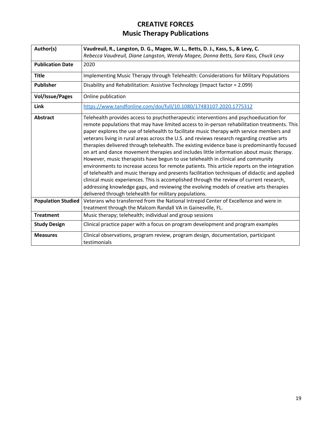<span id="page-21-1"></span><span id="page-21-0"></span>

| Author(s)                 | Vaudreuil, R., Langston, D. G., Magee, W. L., Betts, D. J., Kass, S., & Levy, C.                                                                                                                                                                                                                                                                                                                                                                                                                                                                                                                                                                                                                                                                                                                                                                                                                                                                                                                                                                                                                                  |
|---------------------------|-------------------------------------------------------------------------------------------------------------------------------------------------------------------------------------------------------------------------------------------------------------------------------------------------------------------------------------------------------------------------------------------------------------------------------------------------------------------------------------------------------------------------------------------------------------------------------------------------------------------------------------------------------------------------------------------------------------------------------------------------------------------------------------------------------------------------------------------------------------------------------------------------------------------------------------------------------------------------------------------------------------------------------------------------------------------------------------------------------------------|
|                           | Rebecca Vaudreuil, Diane Langston, Wendy Magee, Donna Betts, Sara Kass, Chuck Levy                                                                                                                                                                                                                                                                                                                                                                                                                                                                                                                                                                                                                                                                                                                                                                                                                                                                                                                                                                                                                                |
| <b>Publication Date</b>   | 2020                                                                                                                                                                                                                                                                                                                                                                                                                                                                                                                                                                                                                                                                                                                                                                                                                                                                                                                                                                                                                                                                                                              |
| <b>Title</b>              | Implementing Music Therapy through Telehealth: Considerations for Military Populations                                                                                                                                                                                                                                                                                                                                                                                                                                                                                                                                                                                                                                                                                                                                                                                                                                                                                                                                                                                                                            |
| <b>Publisher</b>          | Disability and Rehabilitation: Assistive Technology (Impact factor = 2.099)                                                                                                                                                                                                                                                                                                                                                                                                                                                                                                                                                                                                                                                                                                                                                                                                                                                                                                                                                                                                                                       |
| <b>Vol/Issue/Pages</b>    | Online publication                                                                                                                                                                                                                                                                                                                                                                                                                                                                                                                                                                                                                                                                                                                                                                                                                                                                                                                                                                                                                                                                                                |
| Link                      | https://www.tandfonline.com/doi/full/10.1080/17483107.2020.1775312                                                                                                                                                                                                                                                                                                                                                                                                                                                                                                                                                                                                                                                                                                                                                                                                                                                                                                                                                                                                                                                |
| <b>Abstract</b>           | Telehealth provides access to psychotherapeutic interventions and psychoeducation for<br>remote populations that may have limited access to in-person rehabilitation treatments. This<br>paper explores the use of telehealth to facilitate music therapy with service members and<br>veterans living in rural areas across the U.S. and reviews research regarding creative arts<br>therapies delivered through telehealth. The existing evidence base is predominantly focused<br>on art and dance movement therapies and includes little information about music therapy.<br>However, music therapists have begun to use telehealth in clinical and community<br>environments to increase access for remote patients. This article reports on the integration<br>of telehealth and music therapy and presents facilitation techniques of didactic and applied<br>clinical music experiences. This is accomplished through the review of current research,<br>addressing knowledge gaps, and reviewing the evolving models of creative arts therapies<br>delivered through telehealth for military populations. |
| <b>Population Studied</b> | Veterans who transferred from the National Intrepid Center of Excellence and were in<br>treatment through the Malcom Randall VA in Gainesville, FL.                                                                                                                                                                                                                                                                                                                                                                                                                                                                                                                                                                                                                                                                                                                                                                                                                                                                                                                                                               |
| <b>Treatment</b>          | Music therapy; telehealth; individual and group sessions                                                                                                                                                                                                                                                                                                                                                                                                                                                                                                                                                                                                                                                                                                                                                                                                                                                                                                                                                                                                                                                          |
| <b>Study Design</b>       | Clinical practice paper with a focus on program development and program examples                                                                                                                                                                                                                                                                                                                                                                                                                                                                                                                                                                                                                                                                                                                                                                                                                                                                                                                                                                                                                                  |
| <b>Measures</b>           | Clinical observations, program review, program design, documentation, participant<br>testimonials                                                                                                                                                                                                                                                                                                                                                                                                                                                                                                                                                                                                                                                                                                                                                                                                                                                                                                                                                                                                                 |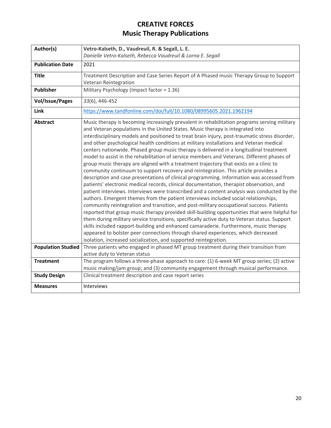<span id="page-22-1"></span><span id="page-22-0"></span>

| Author(s)                                    | Vetro-Kalseth, D., Vaudreuil, R. & Segall, L. E.                                                                                                                                                                                                                                                                                                                                                                                                                                                                                                                                                                                                                                                                                                                                                                                                                                                                                                                                                                                                                                                                                                                                                                                                                                                                                                                                                                                                                                                                                                                                                                                                                                                                                                                           |
|----------------------------------------------|----------------------------------------------------------------------------------------------------------------------------------------------------------------------------------------------------------------------------------------------------------------------------------------------------------------------------------------------------------------------------------------------------------------------------------------------------------------------------------------------------------------------------------------------------------------------------------------------------------------------------------------------------------------------------------------------------------------------------------------------------------------------------------------------------------------------------------------------------------------------------------------------------------------------------------------------------------------------------------------------------------------------------------------------------------------------------------------------------------------------------------------------------------------------------------------------------------------------------------------------------------------------------------------------------------------------------------------------------------------------------------------------------------------------------------------------------------------------------------------------------------------------------------------------------------------------------------------------------------------------------------------------------------------------------------------------------------------------------------------------------------------------------|
|                                              | Danielle Vetro-Kalseth, Rebecca Vaudreuil & Lorna E. Segall                                                                                                                                                                                                                                                                                                                                                                                                                                                                                                                                                                                                                                                                                                                                                                                                                                                                                                                                                                                                                                                                                                                                                                                                                                                                                                                                                                                                                                                                                                                                                                                                                                                                                                                |
| <b>Publication Date</b>                      | 2021                                                                                                                                                                                                                                                                                                                                                                                                                                                                                                                                                                                                                                                                                                                                                                                                                                                                                                                                                                                                                                                                                                                                                                                                                                                                                                                                                                                                                                                                                                                                                                                                                                                                                                                                                                       |
| <b>Title</b>                                 | Treatment Description and Case Series Report of A Phased music Therapy Group to Support<br>Veteran Reintegration                                                                                                                                                                                                                                                                                                                                                                                                                                                                                                                                                                                                                                                                                                                                                                                                                                                                                                                                                                                                                                                                                                                                                                                                                                                                                                                                                                                                                                                                                                                                                                                                                                                           |
| <b>Publisher</b>                             | Military Psychology (Impact factor = 1.36)                                                                                                                                                                                                                                                                                                                                                                                                                                                                                                                                                                                                                                                                                                                                                                                                                                                                                                                                                                                                                                                                                                                                                                                                                                                                                                                                                                                                                                                                                                                                                                                                                                                                                                                                 |
| <b>Vol/Issue/Pages</b>                       | 33(6), 446-452                                                                                                                                                                                                                                                                                                                                                                                                                                                                                                                                                                                                                                                                                                                                                                                                                                                                                                                                                                                                                                                                                                                                                                                                                                                                                                                                                                                                                                                                                                                                                                                                                                                                                                                                                             |
| Link                                         | https://www.tandfonline.com/doi/full/10.1080/08995605.2021.1962194                                                                                                                                                                                                                                                                                                                                                                                                                                                                                                                                                                                                                                                                                                                                                                                                                                                                                                                                                                                                                                                                                                                                                                                                                                                                                                                                                                                                                                                                                                                                                                                                                                                                                                         |
| <b>Abstract</b><br><b>Population Studied</b> | Music therapy is becoming increasingly prevalent in rehabilitation programs serving military<br>and Veteran populations in the United States. Music therapy is integrated into<br>interdisciplinary models and positioned to treat brain injury, post-traumatic stress disorder,<br>and other psychological health conditions at military installations and Veteran medical<br>centers nationwide. Phased group music therapy is delivered in a longitudinal treatment<br>model to assist in the rehabilitation of service members and Veterans. Different phases of<br>group music therapy are aligned with a treatment trajectory that exists on a clinic to<br>community continuum to support recovery and reintegration. This article provides a<br>description and case presentations of clinical programming. Information was accessed from<br>patients' electronic medical records, clinical documentation, therapist observation, and<br>patient interviews. Interviews were transcribed and a content analysis was conducted by the<br>authors. Emergent themes from the patient interviews included social relationships,<br>community reintegration and transition, and post-military occupational success. Patients<br>reported that group music therapy provided skill-building opportunities that were helpful for<br>them during military service transitions, specifically active duty to Veteran status. Support<br>skills included rapport-building and enhanced camaraderie. Furthermore, music therapy<br>appeared to bolster peer connections through shared experiences, which decreased<br>isolation, increased socialization, and supported reintegration.<br>Three patients who engaged in phased MT group treatment during their transition from |
|                                              | active duty to Veteran status                                                                                                                                                                                                                                                                                                                                                                                                                                                                                                                                                                                                                                                                                                                                                                                                                                                                                                                                                                                                                                                                                                                                                                                                                                                                                                                                                                                                                                                                                                                                                                                                                                                                                                                                              |
| <b>Treatment</b>                             | The program follows a three-phase approach to care: (1) 6-week MT group series; (2) active<br>music making/jam group; and (3) community engagement through musical performance.                                                                                                                                                                                                                                                                                                                                                                                                                                                                                                                                                                                                                                                                                                                                                                                                                                                                                                                                                                                                                                                                                                                                                                                                                                                                                                                                                                                                                                                                                                                                                                                            |
| <b>Study Design</b>                          | Clinical treatment description and case report series                                                                                                                                                                                                                                                                                                                                                                                                                                                                                                                                                                                                                                                                                                                                                                                                                                                                                                                                                                                                                                                                                                                                                                                                                                                                                                                                                                                                                                                                                                                                                                                                                                                                                                                      |
| <b>Measures</b>                              | Interviews                                                                                                                                                                                                                                                                                                                                                                                                                                                                                                                                                                                                                                                                                                                                                                                                                                                                                                                                                                                                                                                                                                                                                                                                                                                                                                                                                                                                                                                                                                                                                                                                                                                                                                                                                                 |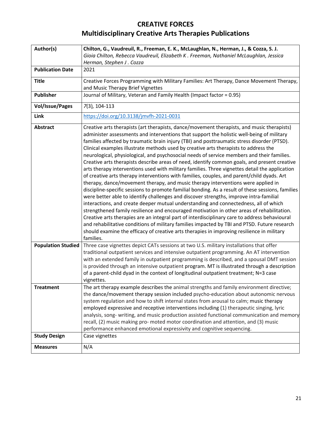#### **CREATIVE FORCES**

# <span id="page-23-1"></span><span id="page-23-0"></span>**Multidisciplinary Creative Arts Therapies Publications**

| Gioia Chilton, Rebecca Vaudreuil, Elizabeth K. Freeman, Nathaniel McLaughlan, Jessica<br>Herman, Stephen J. Cozza<br><b>Publication Date</b><br>2021<br>Creative Forces Programming with Military Families: Art Therapy, Dance Movement Therapy,<br><b>Title</b><br>and Music Therapy Brief Vignettes<br>Journal of Military, Veteran and Family Health (Impact factor = 0.95)<br><b>Publisher</b><br>7(3), 104-113<br><b>Vol/Issue/Pages</b><br>https://doi.org/10.3138/jmvfh-2021-0031<br>Link<br>Creative arts therapists (art therapists, dance/movement therapists, and music therapists)<br>Abstract<br>administer assessments and interventions that support the holistic well-being of military<br>families affected by traumatic brain injury (TBI) and posttraumatic stress disorder (PTSD).<br>Clinical examples illustrate methods used by creative arts therapists to address the<br>neurological, physiological, and psychosocial needs of service members and their families.<br>Creative arts therapists describe areas of need, identify common goals, and present creative<br>arts therapy interventions used with military families. Three vignettes detail the application<br>of creative arts therapy interventions with families, couples, and parent/child dyads. Art<br>therapy, dance/movement therapy, and music therapy interventions were applied in<br>discipline-specific sessions to promote familial bonding. As a result of these sessions, families<br>were better able to identify challenges and discover strengths, improve intra-familial<br>interactions, and create deeper mutual understanding and connectedness, all of which<br>strengthened family resilience and encouraged motivation in other areas of rehabilitation.<br>Creative arts therapies are an integral part of interdisciplinary care to address behavioural<br>and rehabilitative conditions of military families impacted by TBI and PTSD. Future research<br>should examine the efficacy of creative arts therapies in improving resilience in military<br>families.<br>Three case vignettes depict CATs sessions at two U.S. military installations that offer<br><b>Population Studied</b><br>traditional outpatient services and intensive outpatient programming. An AT intervention<br>with an extended family in outpatient programming is described, and a spousal DMT session<br>is provided through an intensive outpatient program. MT is illustrated through a description<br>of a parent-child dyad in the context of longitudinal outpatient treatment; N=3 case<br>vignettes.<br>The art therapy example describes the animal strengths and family environment directive;<br><b>Treatment</b><br>the dance/movement therapy session included psycho-education about autonomic nervous<br>system regulation and how to shift internal states from arousal to calm; music therapy<br>employed expressive and receptive interventions including (1) therapeutic singing, lyric<br>analysis, song- writing, and music production assisted functional communication and memory<br>recall, (2) music making pro- moted motor coordination and attention, and (3) music<br>performance enhanced emotional expressivity and cognitive sequencing.<br><b>Study Design</b><br>Case vignettes | Author(s)       | Chilton, G., Vaudreuil, R., Freeman, E. K., McLaughlan, N., Herman, J., & Cozza, S. J. |
|---------------------------------------------------------------------------------------------------------------------------------------------------------------------------------------------------------------------------------------------------------------------------------------------------------------------------------------------------------------------------------------------------------------------------------------------------------------------------------------------------------------------------------------------------------------------------------------------------------------------------------------------------------------------------------------------------------------------------------------------------------------------------------------------------------------------------------------------------------------------------------------------------------------------------------------------------------------------------------------------------------------------------------------------------------------------------------------------------------------------------------------------------------------------------------------------------------------------------------------------------------------------------------------------------------------------------------------------------------------------------------------------------------------------------------------------------------------------------------------------------------------------------------------------------------------------------------------------------------------------------------------------------------------------------------------------------------------------------------------------------------------------------------------------------------------------------------------------------------------------------------------------------------------------------------------------------------------------------------------------------------------------------------------------------------------------------------------------------------------------------------------------------------------------------------------------------------------------------------------------------------------------------------------------------------------------------------------------------------------------------------------------------------------------------------------------------------------------------------------------------------------------------------------------------------------------------------------------------------------------------------------------------------------------------------------------------------------------------------------------------------------------------------------------------------------------------------------------------------------------------------------------------------------------------------------------------------------------------------------------------------------------------------------------------------------------------------------------------------------------------------------------------------------------------------------------------------------------------------------------------------------------------------------------------------------|-----------------|----------------------------------------------------------------------------------------|
|                                                                                                                                                                                                                                                                                                                                                                                                                                                                                                                                                                                                                                                                                                                                                                                                                                                                                                                                                                                                                                                                                                                                                                                                                                                                                                                                                                                                                                                                                                                                                                                                                                                                                                                                                                                                                                                                                                                                                                                                                                                                                                                                                                                                                                                                                                                                                                                                                                                                                                                                                                                                                                                                                                                                                                                                                                                                                                                                                                                                                                                                                                                                                                                                                                                                                                               |                 |                                                                                        |
|                                                                                                                                                                                                                                                                                                                                                                                                                                                                                                                                                                                                                                                                                                                                                                                                                                                                                                                                                                                                                                                                                                                                                                                                                                                                                                                                                                                                                                                                                                                                                                                                                                                                                                                                                                                                                                                                                                                                                                                                                                                                                                                                                                                                                                                                                                                                                                                                                                                                                                                                                                                                                                                                                                                                                                                                                                                                                                                                                                                                                                                                                                                                                                                                                                                                                                               |                 |                                                                                        |
|                                                                                                                                                                                                                                                                                                                                                                                                                                                                                                                                                                                                                                                                                                                                                                                                                                                                                                                                                                                                                                                                                                                                                                                                                                                                                                                                                                                                                                                                                                                                                                                                                                                                                                                                                                                                                                                                                                                                                                                                                                                                                                                                                                                                                                                                                                                                                                                                                                                                                                                                                                                                                                                                                                                                                                                                                                                                                                                                                                                                                                                                                                                                                                                                                                                                                                               |                 |                                                                                        |
|                                                                                                                                                                                                                                                                                                                                                                                                                                                                                                                                                                                                                                                                                                                                                                                                                                                                                                                                                                                                                                                                                                                                                                                                                                                                                                                                                                                                                                                                                                                                                                                                                                                                                                                                                                                                                                                                                                                                                                                                                                                                                                                                                                                                                                                                                                                                                                                                                                                                                                                                                                                                                                                                                                                                                                                                                                                                                                                                                                                                                                                                                                                                                                                                                                                                                                               |                 |                                                                                        |
|                                                                                                                                                                                                                                                                                                                                                                                                                                                                                                                                                                                                                                                                                                                                                                                                                                                                                                                                                                                                                                                                                                                                                                                                                                                                                                                                                                                                                                                                                                                                                                                                                                                                                                                                                                                                                                                                                                                                                                                                                                                                                                                                                                                                                                                                                                                                                                                                                                                                                                                                                                                                                                                                                                                                                                                                                                                                                                                                                                                                                                                                                                                                                                                                                                                                                                               |                 |                                                                                        |
|                                                                                                                                                                                                                                                                                                                                                                                                                                                                                                                                                                                                                                                                                                                                                                                                                                                                                                                                                                                                                                                                                                                                                                                                                                                                                                                                                                                                                                                                                                                                                                                                                                                                                                                                                                                                                                                                                                                                                                                                                                                                                                                                                                                                                                                                                                                                                                                                                                                                                                                                                                                                                                                                                                                                                                                                                                                                                                                                                                                                                                                                                                                                                                                                                                                                                                               |                 |                                                                                        |
|                                                                                                                                                                                                                                                                                                                                                                                                                                                                                                                                                                                                                                                                                                                                                                                                                                                                                                                                                                                                                                                                                                                                                                                                                                                                                                                                                                                                                                                                                                                                                                                                                                                                                                                                                                                                                                                                                                                                                                                                                                                                                                                                                                                                                                                                                                                                                                                                                                                                                                                                                                                                                                                                                                                                                                                                                                                                                                                                                                                                                                                                                                                                                                                                                                                                                                               |                 |                                                                                        |
|                                                                                                                                                                                                                                                                                                                                                                                                                                                                                                                                                                                                                                                                                                                                                                                                                                                                                                                                                                                                                                                                                                                                                                                                                                                                                                                                                                                                                                                                                                                                                                                                                                                                                                                                                                                                                                                                                                                                                                                                                                                                                                                                                                                                                                                                                                                                                                                                                                                                                                                                                                                                                                                                                                                                                                                                                                                                                                                                                                                                                                                                                                                                                                                                                                                                                                               |                 |                                                                                        |
|                                                                                                                                                                                                                                                                                                                                                                                                                                                                                                                                                                                                                                                                                                                                                                                                                                                                                                                                                                                                                                                                                                                                                                                                                                                                                                                                                                                                                                                                                                                                                                                                                                                                                                                                                                                                                                                                                                                                                                                                                                                                                                                                                                                                                                                                                                                                                                                                                                                                                                                                                                                                                                                                                                                                                                                                                                                                                                                                                                                                                                                                                                                                                                                                                                                                                                               |                 |                                                                                        |
|                                                                                                                                                                                                                                                                                                                                                                                                                                                                                                                                                                                                                                                                                                                                                                                                                                                                                                                                                                                                                                                                                                                                                                                                                                                                                                                                                                                                                                                                                                                                                                                                                                                                                                                                                                                                                                                                                                                                                                                                                                                                                                                                                                                                                                                                                                                                                                                                                                                                                                                                                                                                                                                                                                                                                                                                                                                                                                                                                                                                                                                                                                                                                                                                                                                                                                               |                 |                                                                                        |
|                                                                                                                                                                                                                                                                                                                                                                                                                                                                                                                                                                                                                                                                                                                                                                                                                                                                                                                                                                                                                                                                                                                                                                                                                                                                                                                                                                                                                                                                                                                                                                                                                                                                                                                                                                                                                                                                                                                                                                                                                                                                                                                                                                                                                                                                                                                                                                                                                                                                                                                                                                                                                                                                                                                                                                                                                                                                                                                                                                                                                                                                                                                                                                                                                                                                                                               |                 |                                                                                        |
|                                                                                                                                                                                                                                                                                                                                                                                                                                                                                                                                                                                                                                                                                                                                                                                                                                                                                                                                                                                                                                                                                                                                                                                                                                                                                                                                                                                                                                                                                                                                                                                                                                                                                                                                                                                                                                                                                                                                                                                                                                                                                                                                                                                                                                                                                                                                                                                                                                                                                                                                                                                                                                                                                                                                                                                                                                                                                                                                                                                                                                                                                                                                                                                                                                                                                                               | <b>Measures</b> | N/A                                                                                    |